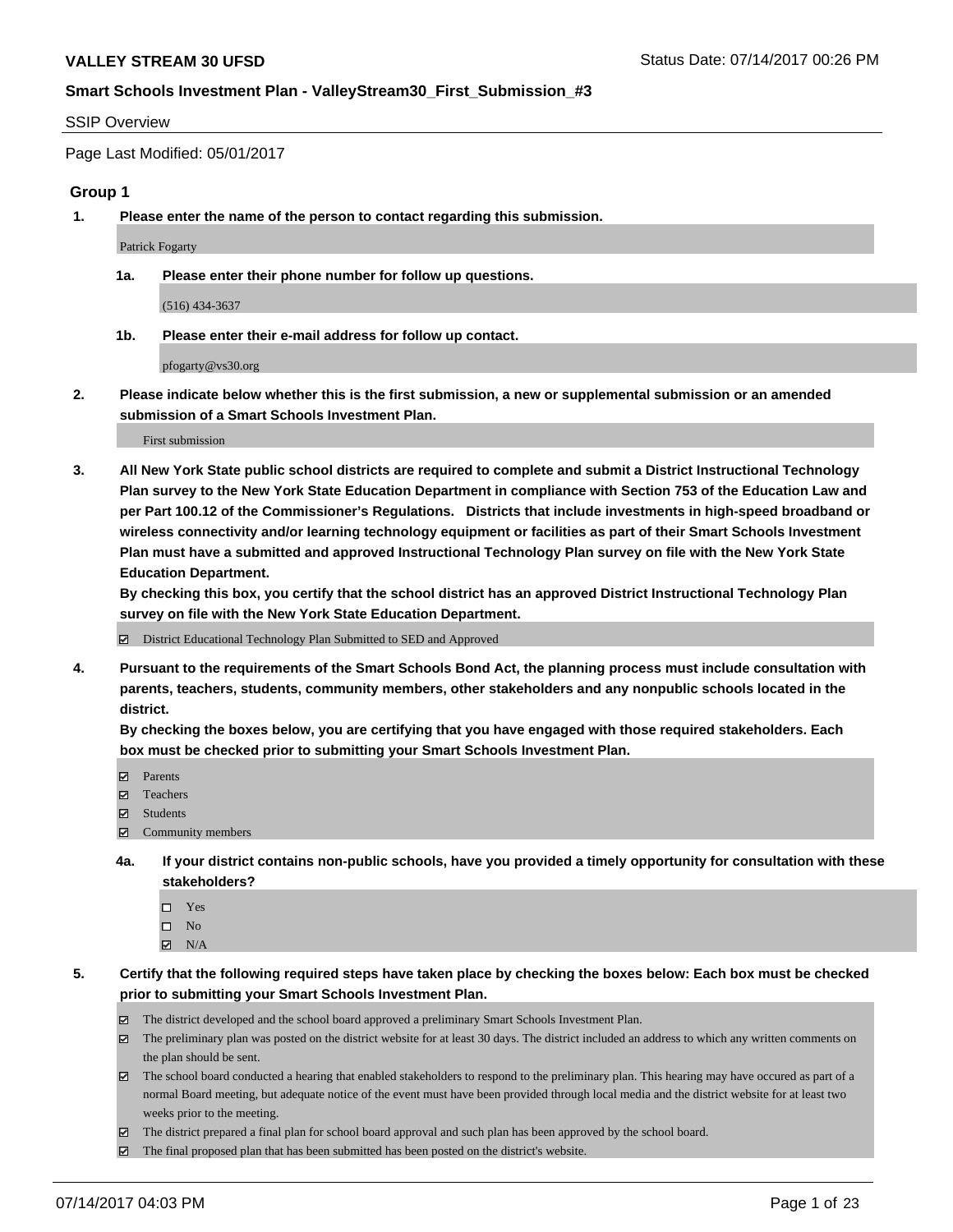#### SSIP Overview

Page Last Modified: 05/01/2017

#### **Group 1**

**1. Please enter the name of the person to contact regarding this submission.**

Patrick Fogarty

**1a. Please enter their phone number for follow up questions.**

(516) 434-3637

**1b. Please enter their e-mail address for follow up contact.**

pfogarty@vs30.org

**2. Please indicate below whether this is the first submission, a new or supplemental submission or an amended submission of a Smart Schools Investment Plan.**

First submission

**3. All New York State public school districts are required to complete and submit a District Instructional Technology Plan survey to the New York State Education Department in compliance with Section 753 of the Education Law and per Part 100.12 of the Commissioner's Regulations. Districts that include investments in high-speed broadband or wireless connectivity and/or learning technology equipment or facilities as part of their Smart Schools Investment Plan must have a submitted and approved Instructional Technology Plan survey on file with the New York State Education Department.** 

**By checking this box, you certify that the school district has an approved District Instructional Technology Plan survey on file with the New York State Education Department.**

District Educational Technology Plan Submitted to SED and Approved

**4. Pursuant to the requirements of the Smart Schools Bond Act, the planning process must include consultation with parents, teachers, students, community members, other stakeholders and any nonpublic schools located in the district.** 

**By checking the boxes below, you are certifying that you have engaged with those required stakeholders. Each box must be checked prior to submitting your Smart Schools Investment Plan.**

- **マ** Parents
- □ Teachers
- Students
- $\Xi$  Community members
- **4a. If your district contains non-public schools, have you provided a timely opportunity for consultation with these stakeholders?**
	- Yes
	- $\hfill \square$  No
	- $\boxtimes$  N/A
- **5. Certify that the following required steps have taken place by checking the boxes below: Each box must be checked prior to submitting your Smart Schools Investment Plan.**
	- The district developed and the school board approved a preliminary Smart Schools Investment Plan.
	- $\boxtimes$  The preliminary plan was posted on the district website for at least 30 days. The district included an address to which any written comments on the plan should be sent.
	- $\boxtimes$  The school board conducted a hearing that enabled stakeholders to respond to the preliminary plan. This hearing may have occured as part of a normal Board meeting, but adequate notice of the event must have been provided through local media and the district website for at least two weeks prior to the meeting.
	- The district prepared a final plan for school board approval and such plan has been approved by the school board.
	- $\boxtimes$  The final proposed plan that has been submitted has been posted on the district's website.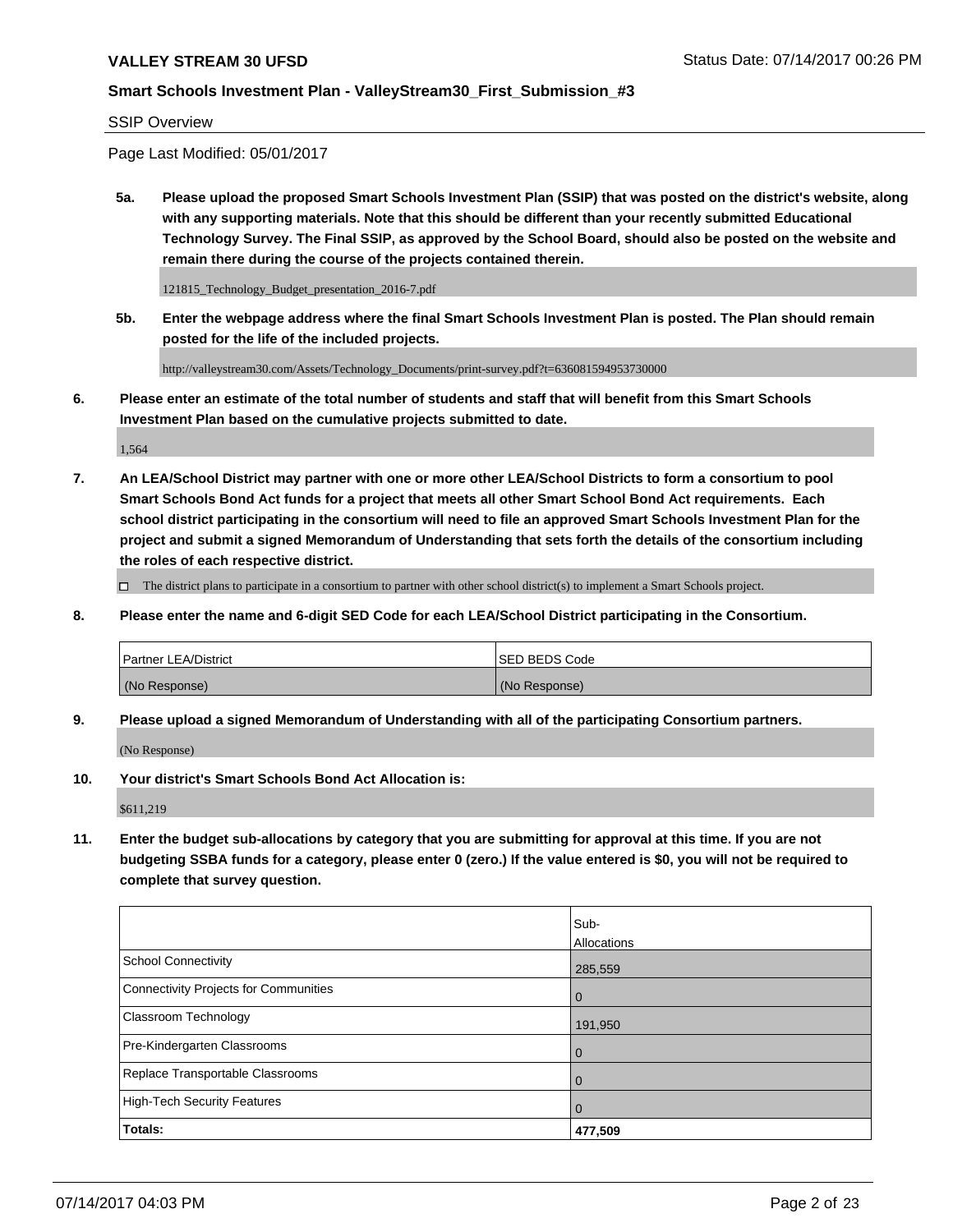#### SSIP Overview

Page Last Modified: 05/01/2017

**5a. Please upload the proposed Smart Schools Investment Plan (SSIP) that was posted on the district's website, along with any supporting materials. Note that this should be different than your recently submitted Educational Technology Survey. The Final SSIP, as approved by the School Board, should also be posted on the website and remain there during the course of the projects contained therein.**

121815\_Technology\_Budget\_presentation\_2016-7.pdf

**5b. Enter the webpage address where the final Smart Schools Investment Plan is posted. The Plan should remain posted for the life of the included projects.**

http://valleystream30.com/Assets/Technology\_Documents/print-survey.pdf?t=636081594953730000

**6. Please enter an estimate of the total number of students and staff that will benefit from this Smart Schools Investment Plan based on the cumulative projects submitted to date.**

1,564

**7. An LEA/School District may partner with one or more other LEA/School Districts to form a consortium to pool Smart Schools Bond Act funds for a project that meets all other Smart School Bond Act requirements. Each school district participating in the consortium will need to file an approved Smart Schools Investment Plan for the project and submit a signed Memorandum of Understanding that sets forth the details of the consortium including the roles of each respective district.**

 $\Box$  The district plans to participate in a consortium to partner with other school district(s) to implement a Smart Schools project.

**8. Please enter the name and 6-digit SED Code for each LEA/School District participating in the Consortium.**

| <b>Partner LEA/District</b> | <b>ISED BEDS Code</b> |
|-----------------------------|-----------------------|
| (No Response)               | (No Response)         |

**9. Please upload a signed Memorandum of Understanding with all of the participating Consortium partners.**

(No Response)

**10. Your district's Smart Schools Bond Act Allocation is:**

\$611,219

**11. Enter the budget sub-allocations by category that you are submitting for approval at this time. If you are not budgeting SSBA funds for a category, please enter 0 (zero.) If the value entered is \$0, you will not be required to complete that survey question.**

|                                              | Sub-        |
|----------------------------------------------|-------------|
|                                              | Allocations |
| <b>School Connectivity</b>                   | 285,559     |
| <b>Connectivity Projects for Communities</b> | 0           |
| <b>Classroom Technology</b>                  | 191,950     |
| Pre-Kindergarten Classrooms                  | 0           |
| Replace Transportable Classrooms             | 0           |
| <b>High-Tech Security Features</b>           | 0           |
| Totals:                                      | 477,509     |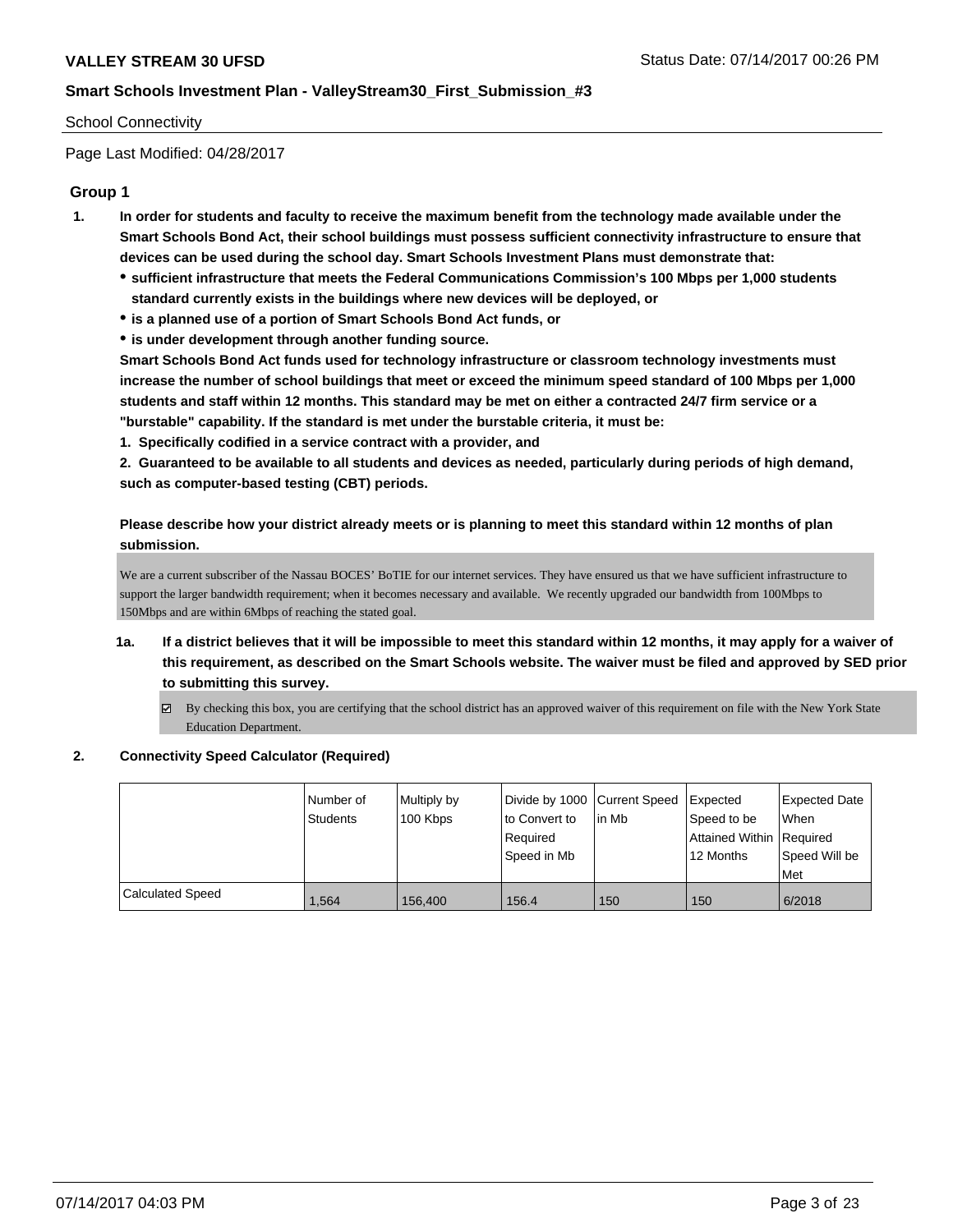#### School Connectivity

Page Last Modified: 04/28/2017

## **Group 1**

- **1. In order for students and faculty to receive the maximum benefit from the technology made available under the Smart Schools Bond Act, their school buildings must possess sufficient connectivity infrastructure to ensure that devices can be used during the school day. Smart Schools Investment Plans must demonstrate that:**
	- **sufficient infrastructure that meets the Federal Communications Commission's 100 Mbps per 1,000 students standard currently exists in the buildings where new devices will be deployed, or**
	- **is a planned use of a portion of Smart Schools Bond Act funds, or**
	- **is under development through another funding source.**

**Smart Schools Bond Act funds used for technology infrastructure or classroom technology investments must increase the number of school buildings that meet or exceed the minimum speed standard of 100 Mbps per 1,000 students and staff within 12 months. This standard may be met on either a contracted 24/7 firm service or a "burstable" capability. If the standard is met under the burstable criteria, it must be:**

**1. Specifically codified in a service contract with a provider, and**

**2. Guaranteed to be available to all students and devices as needed, particularly during periods of high demand, such as computer-based testing (CBT) periods.**

**Please describe how your district already meets or is planning to meet this standard within 12 months of plan submission.**

We are a current subscriber of the Nassau BOCES' BoTIE for our internet services. They have ensured us that we have sufficient infrastructure to support the larger bandwidth requirement; when it becomes necessary and available. We recently upgraded our bandwidth from 100Mbps to 150Mbps and are within 6Mbps of reaching the stated goal.

- **1a. If a district believes that it will be impossible to meet this standard within 12 months, it may apply for a waiver of this requirement, as described on the Smart Schools website. The waiver must be filed and approved by SED prior to submitting this survey.**
	- By checking this box, you are certifying that the school district has an approved waiver of this requirement on file with the New York State Education Department.

#### **2. Connectivity Speed Calculator (Required)**

|                         | Number of       | Multiply by |               | Divide by 1000 Current Speed Expected |                            | Expected Date |
|-------------------------|-----------------|-------------|---------------|---------------------------------------|----------------------------|---------------|
|                         | <b>Students</b> | 100 Kbps    | to Convert to | lin Mb                                | Speed to be                | When          |
|                         |                 |             | Required      |                                       | Attained Within   Required |               |
|                         |                 |             | l Speed in Mb |                                       | 12 Months                  | Speed Will be |
|                         |                 |             |               |                                       |                            | Met           |
| <b>Calculated Speed</b> | 1.564           | 156,400     | 156.4         | 150                                   | 150                        | 6/2018        |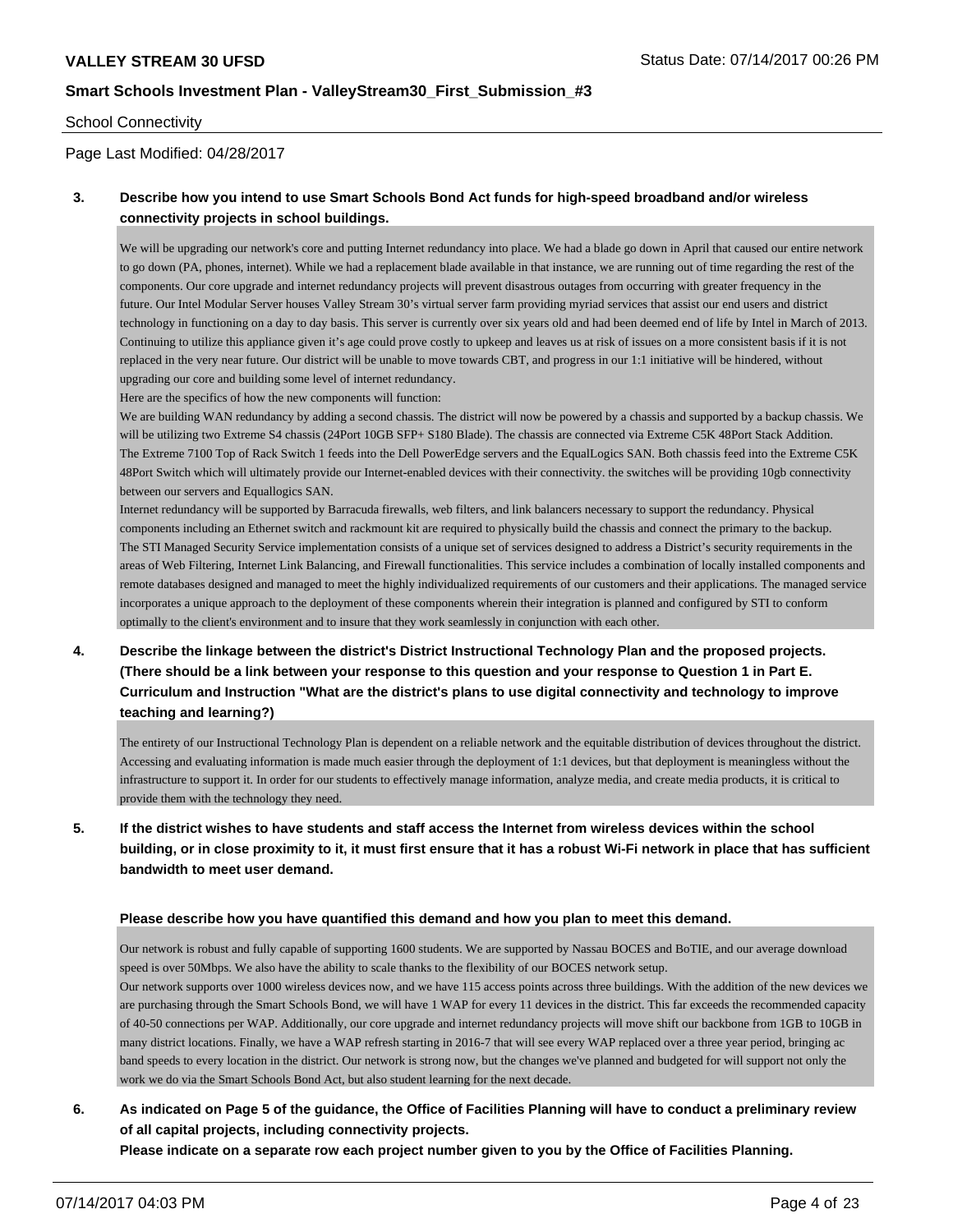#### School Connectivity

Page Last Modified: 04/28/2017

## **3. Describe how you intend to use Smart Schools Bond Act funds for high-speed broadband and/or wireless connectivity projects in school buildings.**

We will be upgrading our network's core and putting Internet redundancy into place. We had a blade go down in April that caused our entire network to go down (PA, phones, internet). While we had a replacement blade available in that instance, we are running out of time regarding the rest of the components. Our core upgrade and internet redundancy projects will prevent disastrous outages from occurring with greater frequency in the future. Our Intel Modular Server houses Valley Stream 30's virtual server farm providing myriad services that assist our end users and district technology in functioning on a day to day basis. This server is currently over six years old and had been deemed end of life by Intel in March of 2013. Continuing to utilize this appliance given it's age could prove costly to upkeep and leaves us at risk of issues on a more consistent basis if it is not replaced in the very near future. Our district will be unable to move towards CBT, and progress in our 1:1 initiative will be hindered, without upgrading our core and building some level of internet redundancy.

Here are the specifics of how the new components will function:

We are building WAN redundancy by adding a second chassis. The district will now be powered by a chassis and supported by a backup chassis. We will be utilizing two Extreme S4 chassis (24Port 10GB SFP+ S180 Blade). The chassis are connected via Extreme C5K 48Port Stack Addition. The Extreme 7100 Top of Rack Switch 1 feeds into the Dell PowerEdge servers and the EqualLogics SAN. Both chassis feed into the Extreme C5K 48Port Switch which will ultimately provide our Internet-enabled devices with their connectivity. the switches will be providing 10gb connectivity between our servers and Equallogics SAN.

Internet redundancy will be supported by Barracuda firewalls, web filters, and link balancers necessary to support the redundancy. Physical components including an Ethernet switch and rackmount kit are required to physically build the chassis and connect the primary to the backup. The STI Managed Security Service implementation consists of a unique set of services designed to address a District's security requirements in the areas of Web Filtering, Internet Link Balancing, and Firewall functionalities. This service includes a combination of locally installed components and remote databases designed and managed to meet the highly individualized requirements of our customers and their applications. The managed service incorporates a unique approach to the deployment of these components wherein their integration is planned and configured by STI to conform optimally to the client's environment and to insure that they work seamlessly in conjunction with each other.

## **4. Describe the linkage between the district's District Instructional Technology Plan and the proposed projects. (There should be a link between your response to this question and your response to Question 1 in Part E. Curriculum and Instruction "What are the district's plans to use digital connectivity and technology to improve teaching and learning?)**

The entirety of our Instructional Technology Plan is dependent on a reliable network and the equitable distribution of devices throughout the district. Accessing and evaluating information is made much easier through the deployment of 1:1 devices, but that deployment is meaningless without the infrastructure to support it. In order for our students to effectively manage information, analyze media, and create media products, it is critical to provide them with the technology they need.

**5. If the district wishes to have students and staff access the Internet from wireless devices within the school building, or in close proximity to it, it must first ensure that it has a robust Wi-Fi network in place that has sufficient bandwidth to meet user demand.**

#### **Please describe how you have quantified this demand and how you plan to meet this demand.**

Our network is robust and fully capable of supporting 1600 students. We are supported by Nassau BOCES and BoTIE, and our average download speed is over 50Mbps. We also have the ability to scale thanks to the flexibility of our BOCES network setup.

Our network supports over 1000 wireless devices now, and we have 115 access points across three buildings. With the addition of the new devices we are purchasing through the Smart Schools Bond, we will have 1 WAP for every 11 devices in the district. This far exceeds the recommended capacity of 40-50 connections per WAP. Additionally, our core upgrade and internet redundancy projects will move shift our backbone from 1GB to 10GB in many district locations. Finally, we have a WAP refresh starting in 2016-7 that will see every WAP replaced over a three year period, bringing ac band speeds to every location in the district. Our network is strong now, but the changes we've planned and budgeted for will support not only the work we do via the Smart Schools Bond Act, but also student learning for the next decade.

# **6. As indicated on Page 5 of the guidance, the Office of Facilities Planning will have to conduct a preliminary review of all capital projects, including connectivity projects.**

**Please indicate on a separate row each project number given to you by the Office of Facilities Planning.**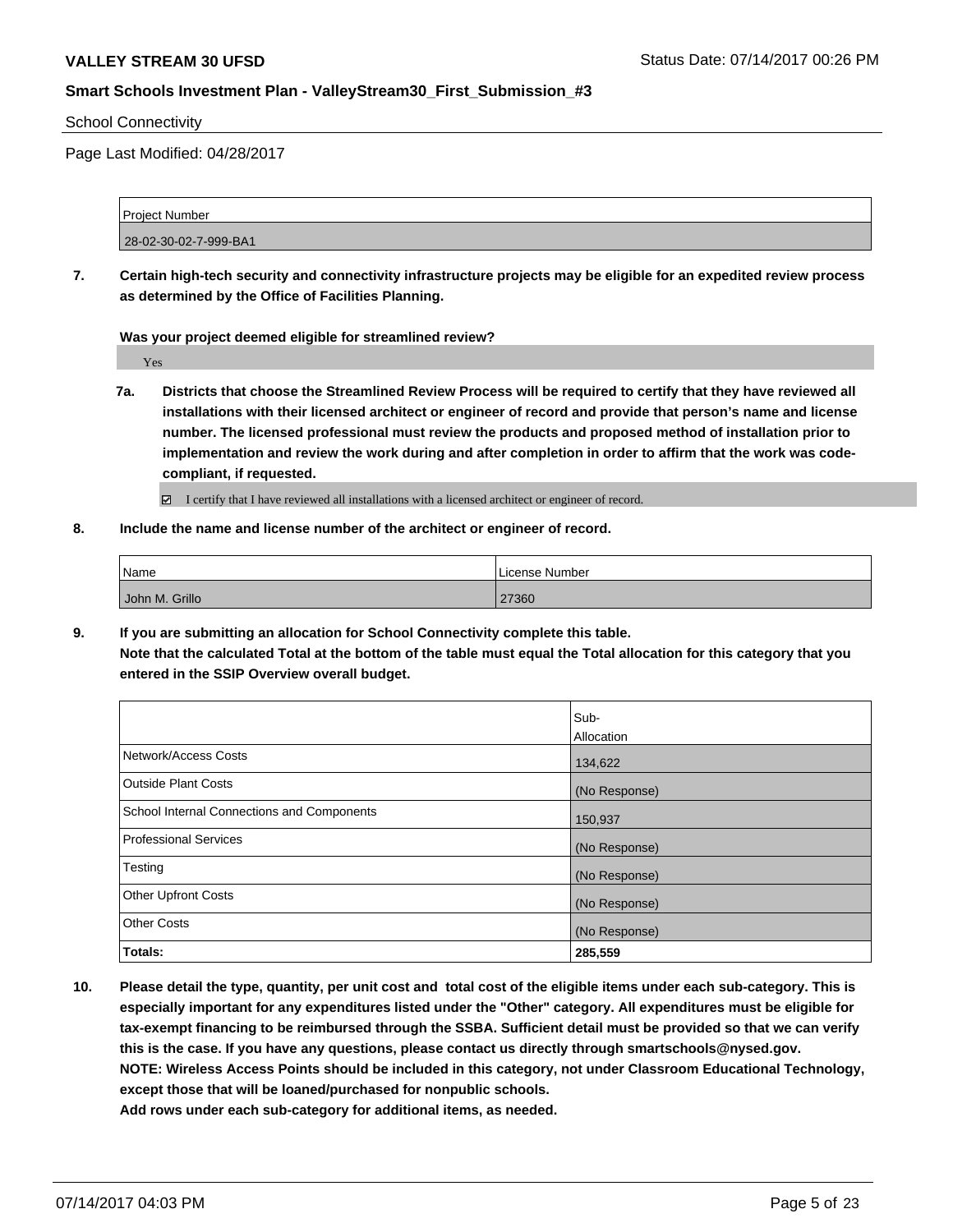School Connectivity

Page Last Modified: 04/28/2017

| Project Number        |  |
|-----------------------|--|
|                       |  |
| 28-02-30-02-7-999-BA1 |  |

**7. Certain high-tech security and connectivity infrastructure projects may be eligible for an expedited review process as determined by the Office of Facilities Planning.**

**Was your project deemed eligible for streamlined review?**

Yes

**7a. Districts that choose the Streamlined Review Process will be required to certify that they have reviewed all installations with their licensed architect or engineer of record and provide that person's name and license number. The licensed professional must review the products and proposed method of installation prior to implementation and review the work during and after completion in order to affirm that the work was codecompliant, if requested.**

■ I certify that I have reviewed all installations with a licensed architect or engineer of record.

**8. Include the name and license number of the architect or engineer of record.**

| Name           | License Number |
|----------------|----------------|
| John M. Grillo | 27360          |

**9. If you are submitting an allocation for School Connectivity complete this table.**

**Note that the calculated Total at the bottom of the table must equal the Total allocation for this category that you entered in the SSIP Overview overall budget.** 

|                                                   | Sub-<br>Allocation |
|---------------------------------------------------|--------------------|
| Network/Access Costs                              | 134,622            |
| <b>Outside Plant Costs</b>                        | (No Response)      |
| <b>School Internal Connections and Components</b> | 150,937            |
| <b>Professional Services</b>                      | (No Response)      |
| Testing                                           | (No Response)      |
| <b>Other Upfront Costs</b>                        | (No Response)      |
| <b>Other Costs</b>                                | (No Response)      |
| Totals:                                           | 285,559            |

**10. Please detail the type, quantity, per unit cost and total cost of the eligible items under each sub-category. This is especially important for any expenditures listed under the "Other" category. All expenditures must be eligible for tax-exempt financing to be reimbursed through the SSBA. Sufficient detail must be provided so that we can verify this is the case. If you have any questions, please contact us directly through smartschools@nysed.gov. NOTE: Wireless Access Points should be included in this category, not under Classroom Educational Technology, except those that will be loaned/purchased for nonpublic schools.**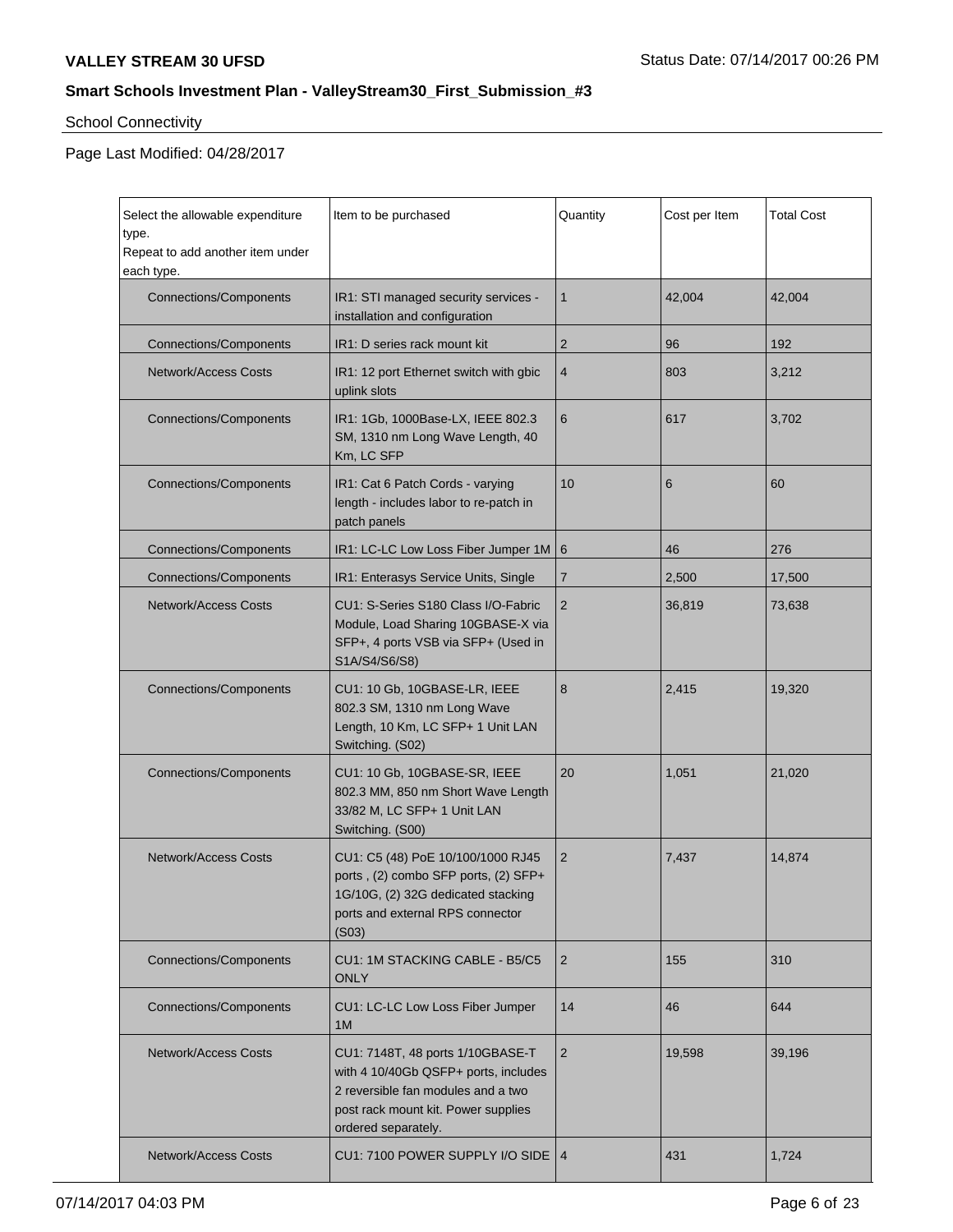# School Connectivity

 $\mathbf{r}$ 

| Select the allowable expenditure<br>type.<br>Repeat to add another item under<br>each type. | Item to be purchased                                                                                                                                                           | Quantity       | Cost per Item | <b>Total Cost</b> |
|---------------------------------------------------------------------------------------------|--------------------------------------------------------------------------------------------------------------------------------------------------------------------------------|----------------|---------------|-------------------|
| <b>Connections/Components</b>                                                               | IR1: STI managed security services -<br>installation and configuration                                                                                                         | $\mathbf{1}$   | 42,004        | 42,004            |
| <b>Connections/Components</b>                                                               | IR1: D series rack mount kit                                                                                                                                                   | $\overline{2}$ | 96            | 192               |
| <b>Network/Access Costs</b>                                                                 | IR1: 12 port Ethernet switch with gbic<br>uplink slots                                                                                                                         | 4              | 803           | 3,212             |
| <b>Connections/Components</b>                                                               | IR1: 1Gb, 1000Base-LX, IEEE 802.3<br>SM, 1310 nm Long Wave Length, 40<br>Km, LC SFP                                                                                            | 6              | 617           | 3,702             |
| <b>Connections/Components</b>                                                               | IR1: Cat 6 Patch Cords - varying<br>length - includes labor to re-patch in<br>patch panels                                                                                     | 10             | 6             | 60                |
| <b>Connections/Components</b>                                                               | IR1: LC-LC Low Loss Fiber Jumper 1M 6                                                                                                                                          |                | 46            | 276               |
| <b>Connections/Components</b>                                                               | IR1: Enterasys Service Units, Single                                                                                                                                           | $\overline{7}$ | 2,500         | 17,500            |
| <b>Network/Access Costs</b>                                                                 | $\overline{2}$<br>CU1: S-Series S180 Class I/O-Fabric<br>Module, Load Sharing 10GBASE-X via<br>SFP+, 4 ports VSB via SFP+ (Used in<br>S1A/S4/S6/S8)                            |                | 36,819        | 73,638            |
| <b>Connections/Components</b>                                                               | CU1: 10 Gb, 10GBASE-LR, IEEE<br>802.3 SM, 1310 nm Long Wave<br>Length, 10 Km, LC SFP+ 1 Unit LAN<br>Switching. (S02)                                                           | 8              | 2,415         | 19,320            |
| <b>Connections/Components</b>                                                               | CU1: 10 Gb, 10GBASE-SR, IEEE<br>802.3 MM, 850 nm Short Wave Length<br>33/82 M, LC SFP+ 1 Unit LAN<br>Switching. (S00)                                                          | 20             | 1,051         | 21,020            |
| <b>Network/Access Costs</b>                                                                 | $\overline{2}$<br>CU1: C5 (48) PoE 10/100/1000 RJ45<br>ports, (2) combo SFP ports, (2) SFP+<br>1G/10G, (2) 32G dedicated stacking<br>ports and external RPS connector<br>(S03) |                | 7,437         | 14,874            |
| <b>Connections/Components</b>                                                               | CU1: 1M STACKING CABLE - B5/C5<br><b>ONLY</b>                                                                                                                                  | $\overline{2}$ | 155           | 310               |
| <b>Connections/Components</b>                                                               | CU1: LC-LC Low Loss Fiber Jumper<br>1M                                                                                                                                         | 14             | 46            | 644               |
| <b>Network/Access Costs</b>                                                                 | CU1: 7148T, 48 ports 1/10GBASE-T<br>with 4 10/40Gb QSFP+ ports, includes<br>2 reversible fan modules and a two<br>post rack mount kit. Power supplies<br>ordered separately.   | $\overline{2}$ | 19,598        | 39,196            |
| <b>Network/Access Costs</b>                                                                 | CU1: 7100 POWER SUPPLY I/O SIDE   4                                                                                                                                            |                | 431           | 1,724             |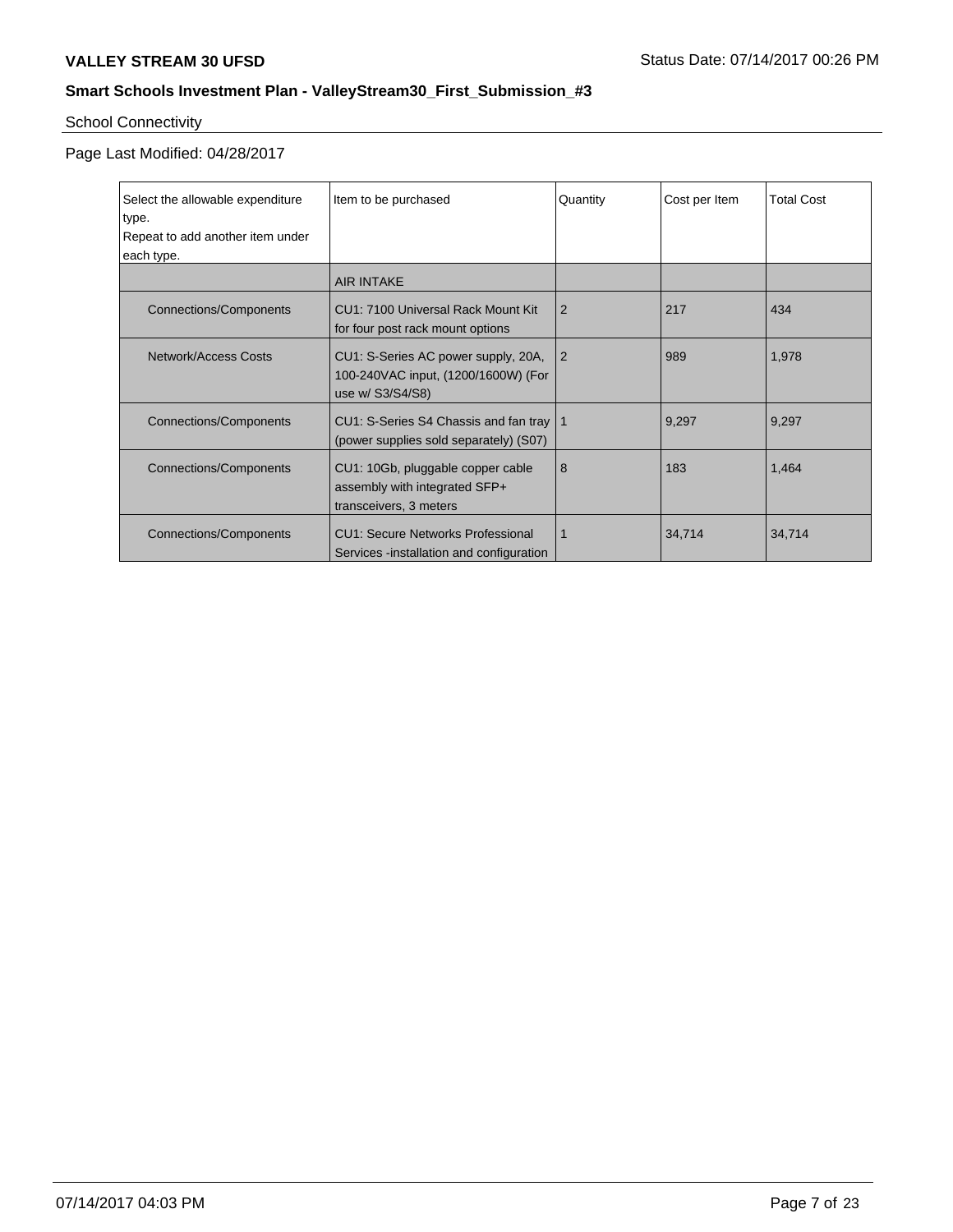# School Connectivity

| Select the allowable expenditure<br>type. | Item to be purchased                                                                                  | Quantity       | Cost per Item | <b>Total Cost</b> |
|-------------------------------------------|-------------------------------------------------------------------------------------------------------|----------------|---------------|-------------------|
| Repeat to add another item under          |                                                                                                       |                |               |                   |
| each type.                                |                                                                                                       |                |               |                   |
|                                           | <b>AIR INTAKE</b>                                                                                     |                |               |                   |
| <b>Connections/Components</b>             | CU1: 7100 Universal Rack Mount Kit<br>for four post rack mount options                                | $\overline{2}$ | 217           | 434               |
| Network/Access Costs                      | CU1: S-Series AC power supply, 20A,<br>l 2<br>100-240VAC input, (1200/1600W) (For<br>use w/ S3/S4/S8) |                | 989           | 1,978             |
| <b>Connections/Components</b>             | CU1: S-Series S4 Chassis and fan tray   1<br>(power supplies sold separately) (S07)                   |                | 9,297         | 9,297             |
| <b>Connections/Components</b>             | CU1: 10Gb, pluggable copper cable<br>assembly with integrated SFP+<br>transceivers, 3 meters          | 8              | 183           | 1,464             |
| <b>Connections/Components</b>             | <b>CU1: Secure Networks Professional</b><br>Services -installation and configuration                  | $\mathbf 1$    | 34,714        | 34,714            |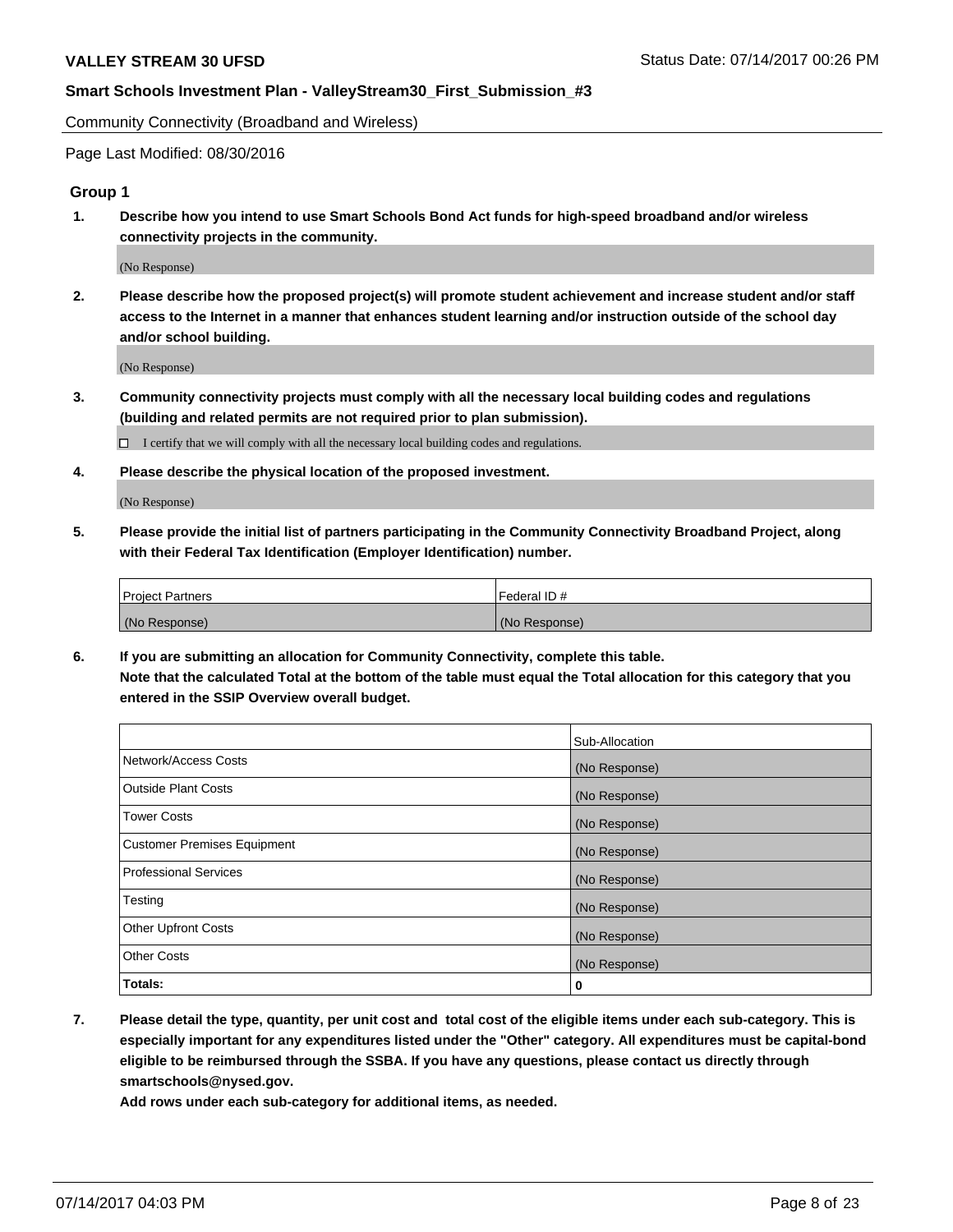Community Connectivity (Broadband and Wireless)

Page Last Modified: 08/30/2016

### **Group 1**

**1. Describe how you intend to use Smart Schools Bond Act funds for high-speed broadband and/or wireless connectivity projects in the community.**

(No Response)

**2. Please describe how the proposed project(s) will promote student achievement and increase student and/or staff access to the Internet in a manner that enhances student learning and/or instruction outside of the school day and/or school building.**

(No Response)

**3. Community connectivity projects must comply with all the necessary local building codes and regulations (building and related permits are not required prior to plan submission).**

 $\Box$  I certify that we will comply with all the necessary local building codes and regulations.

**4. Please describe the physical location of the proposed investment.**

(No Response)

**5. Please provide the initial list of partners participating in the Community Connectivity Broadband Project, along with their Federal Tax Identification (Employer Identification) number.**

| <b>Project Partners</b> | Federal ID#     |
|-------------------------|-----------------|
| (No Response)           | l (No Response) |

**6. If you are submitting an allocation for Community Connectivity, complete this table. Note that the calculated Total at the bottom of the table must equal the Total allocation for this category that you entered in the SSIP Overview overall budget.**

|                                    | Sub-Allocation |
|------------------------------------|----------------|
| Network/Access Costs               | (No Response)  |
| Outside Plant Costs                | (No Response)  |
| <b>Tower Costs</b>                 | (No Response)  |
| <b>Customer Premises Equipment</b> | (No Response)  |
| <b>Professional Services</b>       | (No Response)  |
| Testing                            | (No Response)  |
| <b>Other Upfront Costs</b>         | (No Response)  |
| <b>Other Costs</b>                 | (No Response)  |
| Totals:                            | 0              |

**7. Please detail the type, quantity, per unit cost and total cost of the eligible items under each sub-category. This is especially important for any expenditures listed under the "Other" category. All expenditures must be capital-bond eligible to be reimbursed through the SSBA. If you have any questions, please contact us directly through smartschools@nysed.gov.**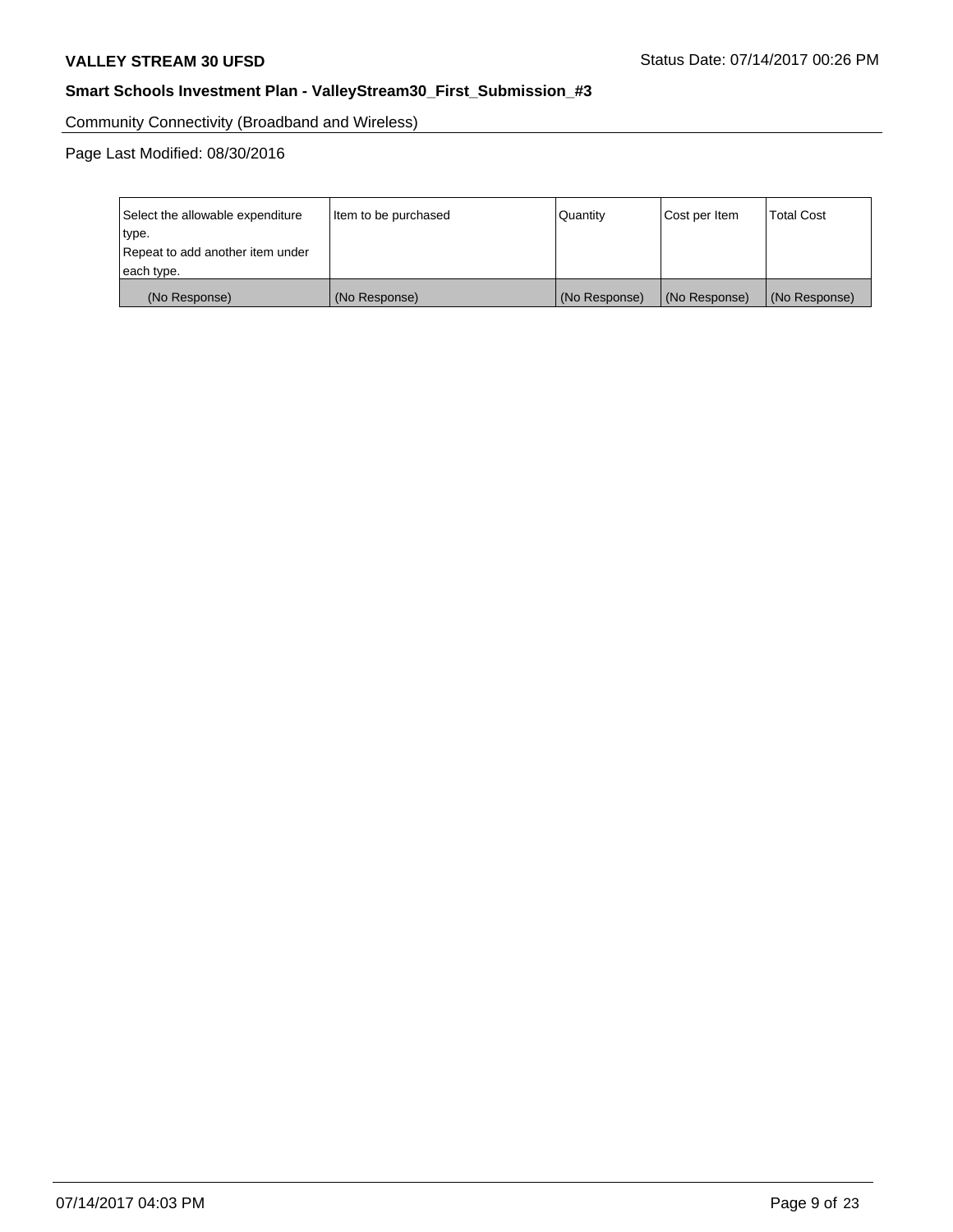Community Connectivity (Broadband and Wireless)

Page Last Modified: 08/30/2016

| Select the allowable expenditure<br>type.<br>Repeat to add another item under | Item to be purchased | Quantity      | Cost per Item | <b>Total Cost</b> |
|-------------------------------------------------------------------------------|----------------------|---------------|---------------|-------------------|
| each type.                                                                    |                      |               |               |                   |
| (No Response)                                                                 | (No Response)        | (No Response) | (No Response) | (No Response)     |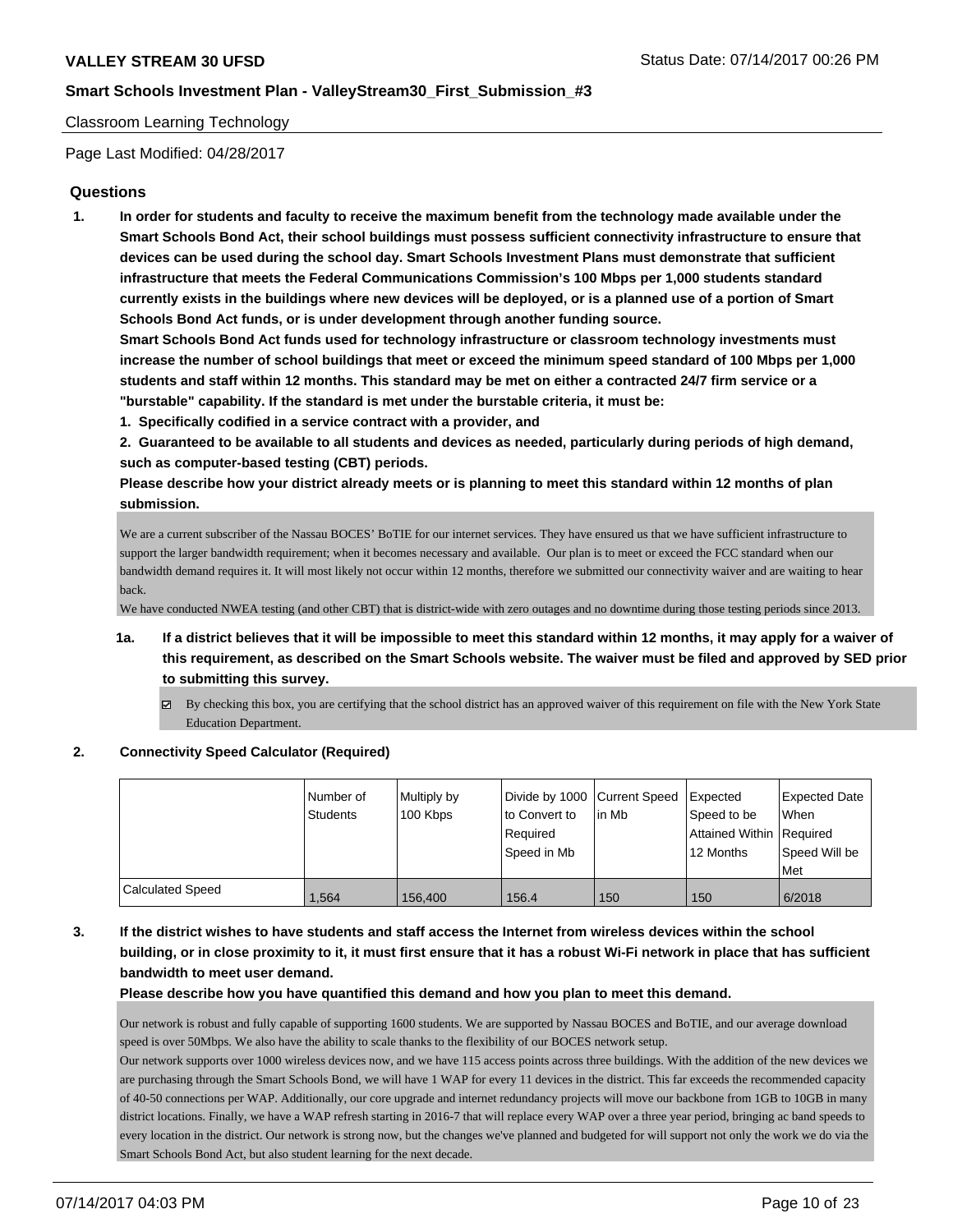### Classroom Learning Technology

Page Last Modified: 04/28/2017

## **Questions**

**1. In order for students and faculty to receive the maximum benefit from the technology made available under the Smart Schools Bond Act, their school buildings must possess sufficient connectivity infrastructure to ensure that devices can be used during the school day. Smart Schools Investment Plans must demonstrate that sufficient infrastructure that meets the Federal Communications Commission's 100 Mbps per 1,000 students standard currently exists in the buildings where new devices will be deployed, or is a planned use of a portion of Smart Schools Bond Act funds, or is under development through another funding source.**

**Smart Schools Bond Act funds used for technology infrastructure or classroom technology investments must increase the number of school buildings that meet or exceed the minimum speed standard of 100 Mbps per 1,000 students and staff within 12 months. This standard may be met on either a contracted 24/7 firm service or a "burstable" capability. If the standard is met under the burstable criteria, it must be:**

**1. Specifically codified in a service contract with a provider, and**

**2. Guaranteed to be available to all students and devices as needed, particularly during periods of high demand, such as computer-based testing (CBT) periods.**

**Please describe how your district already meets or is planning to meet this standard within 12 months of plan submission.**

We are a current subscriber of the Nassau BOCES' BoTIE for our internet services. They have ensured us that we have sufficient infrastructure to support the larger bandwidth requirement; when it becomes necessary and available. Our plan is to meet or exceed the FCC standard when our bandwidth demand requires it. It will most likely not occur within 12 months, therefore we submitted our connectivity waiver and are waiting to hear back.

We have conducted NWEA testing (and other CBT) that is district-wide with zero outages and no downtime during those testing periods since 2013.

- **1a. If a district believes that it will be impossible to meet this standard within 12 months, it may apply for a waiver of this requirement, as described on the Smart Schools website. The waiver must be filed and approved by SED prior to submitting this survey.**
	- $\boxtimes$  By checking this box, you are certifying that the school district has an approved waiver of this requirement on file with the New York State Education Department.

#### **2. Connectivity Speed Calculator (Required)**

|                         | Number of<br><b>Students</b> | Multiply by<br>100 Kbps | Divide by 1000 Current Speed<br>to Convert to<br>Required<br>Speed in Mb | lin Mb | Expected<br>Speed to be<br>Attained Within Required<br>12 Months | <b>Expected Date</b><br>When<br>Speed Will be<br>Met |
|-------------------------|------------------------------|-------------------------|--------------------------------------------------------------------------|--------|------------------------------------------------------------------|------------------------------------------------------|
| <b>Calculated Speed</b> | 1.564                        | 156.400                 | 156.4                                                                    | 150    | 150                                                              | 6/2018                                               |

## **3. If the district wishes to have students and staff access the Internet from wireless devices within the school building, or in close proximity to it, it must first ensure that it has a robust Wi-Fi network in place that has sufficient bandwidth to meet user demand.**

**Please describe how you have quantified this demand and how you plan to meet this demand.**

Our network is robust and fully capable of supporting 1600 students. We are supported by Nassau BOCES and BoTIE, and our average download speed is over 50Mbps. We also have the ability to scale thanks to the flexibility of our BOCES network setup.

Our network supports over 1000 wireless devices now, and we have 115 access points across three buildings. With the addition of the new devices we are purchasing through the Smart Schools Bond, we will have 1 WAP for every 11 devices in the district. This far exceeds the recommended capacity of 40-50 connections per WAP. Additionally, our core upgrade and internet redundancy projects will move our backbone from 1GB to 10GB in many district locations. Finally, we have a WAP refresh starting in 2016-7 that will replace every WAP over a three year period, bringing ac band speeds to every location in the district. Our network is strong now, but the changes we've planned and budgeted for will support not only the work we do via the Smart Schools Bond Act, but also student learning for the next decade.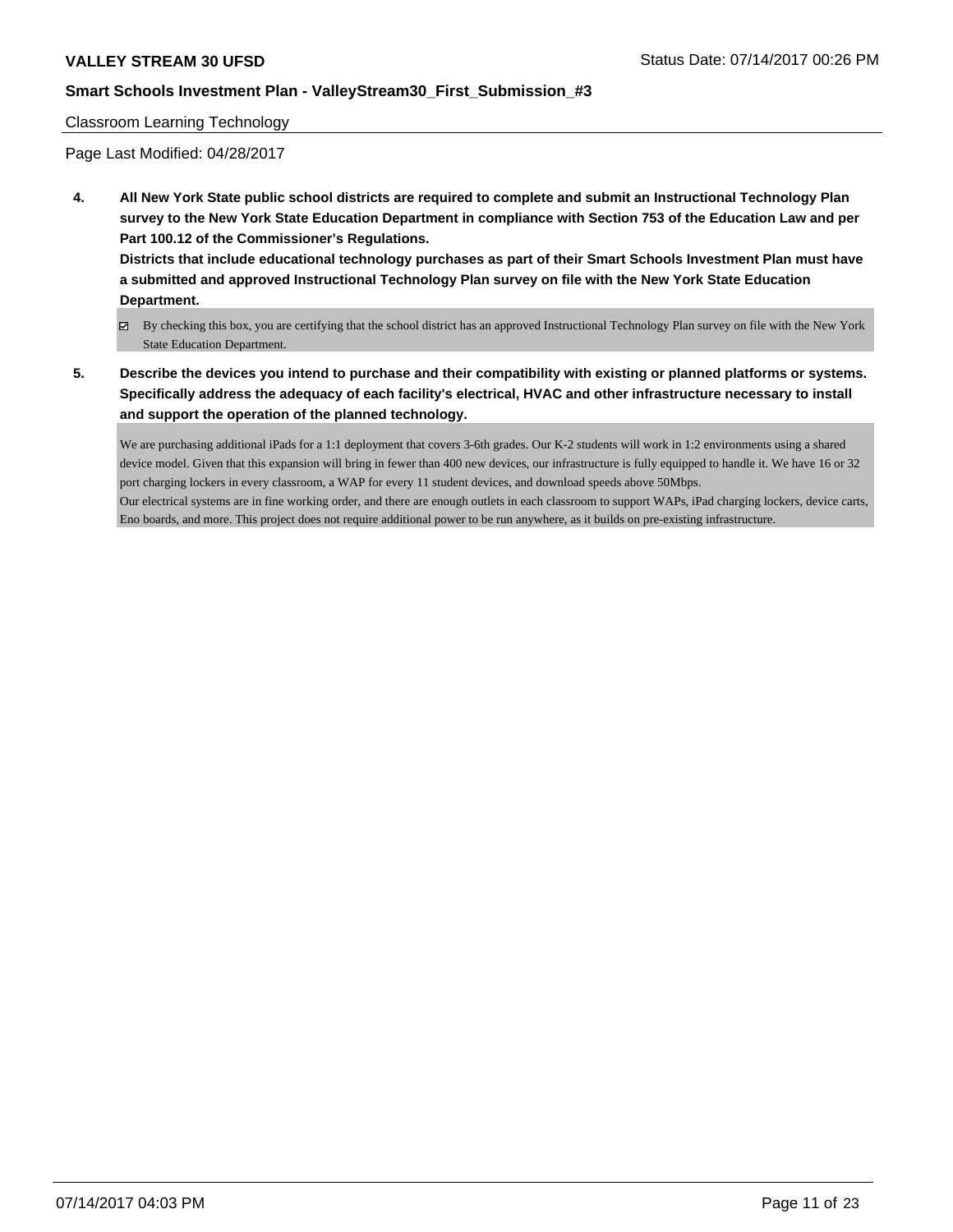#### Classroom Learning Technology

Page Last Modified: 04/28/2017

**4. All New York State public school districts are required to complete and submit an Instructional Technology Plan survey to the New York State Education Department in compliance with Section 753 of the Education Law and per Part 100.12 of the Commissioner's Regulations.**

**Districts that include educational technology purchases as part of their Smart Schools Investment Plan must have a submitted and approved Instructional Technology Plan survey on file with the New York State Education Department.**

- By checking this box, you are certifying that the school district has an approved Instructional Technology Plan survey on file with the New York State Education Department.
- **5. Describe the devices you intend to purchase and their compatibility with existing or planned platforms or systems. Specifically address the adequacy of each facility's electrical, HVAC and other infrastructure necessary to install and support the operation of the planned technology.**

We are purchasing additional iPads for a 1:1 deployment that covers 3-6th grades. Our K-2 students will work in 1:2 environments using a shared device model. Given that this expansion will bring in fewer than 400 new devices, our infrastructure is fully equipped to handle it. We have 16 or 32 port charging lockers in every classroom, a WAP for every 11 student devices, and download speeds above 50Mbps. Our electrical systems are in fine working order, and there are enough outlets in each classroom to support WAPs, iPad charging lockers, device carts, Eno boards, and more. This project does not require additional power to be run anywhere, as it builds on pre-existing infrastructure.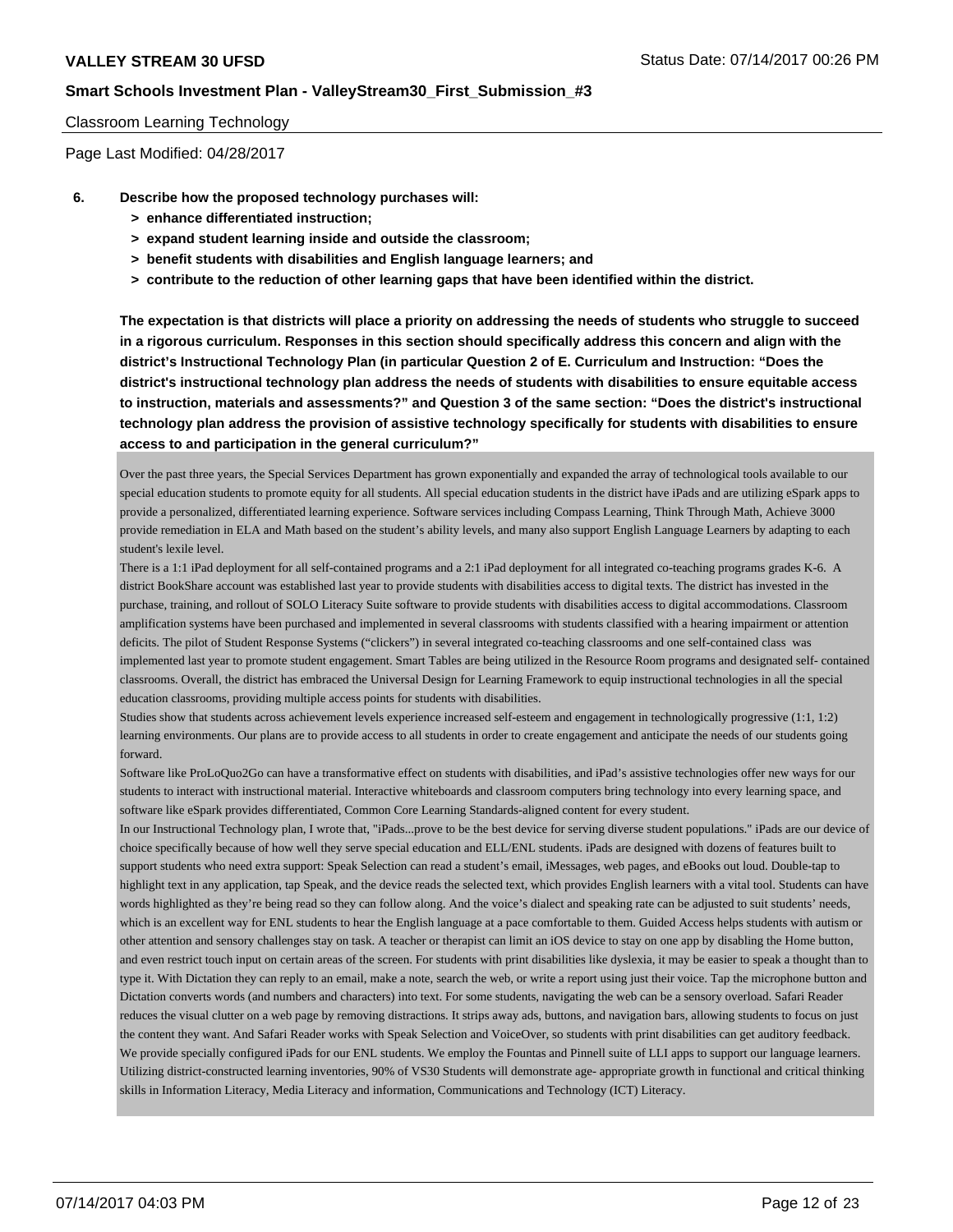#### Classroom Learning Technology

Page Last Modified: 04/28/2017

- **6. Describe how the proposed technology purchases will:**
	- **> enhance differentiated instruction;**
	- **> expand student learning inside and outside the classroom;**
	- **> benefit students with disabilities and English language learners; and**
	- **> contribute to the reduction of other learning gaps that have been identified within the district.**

**The expectation is that districts will place a priority on addressing the needs of students who struggle to succeed in a rigorous curriculum. Responses in this section should specifically address this concern and align with the district's Instructional Technology Plan (in particular Question 2 of E. Curriculum and Instruction: "Does the district's instructional technology plan address the needs of students with disabilities to ensure equitable access to instruction, materials and assessments?" and Question 3 of the same section: "Does the district's instructional technology plan address the provision of assistive technology specifically for students with disabilities to ensure access to and participation in the general curriculum?"**

Over the past three years, the Special Services Department has grown exponentially and expanded the array of technological tools available to our special education students to promote equity for all students. All special education students in the district have iPads and are utilizing eSpark apps to provide a personalized, differentiated learning experience. Software services including Compass Learning, Think Through Math, Achieve 3000 provide remediation in ELA and Math based on the student's ability levels, and many also support English Language Learners by adapting to each student's lexile level.

There is a 1:1 iPad deployment for all self-contained programs and a 2:1 iPad deployment for all integrated co-teaching programs grades K-6. A district BookShare account was established last year to provide students with disabilities access to digital texts. The district has invested in the purchase, training, and rollout of SOLO Literacy Suite software to provide students with disabilities access to digital accommodations. Classroom amplification systems have been purchased and implemented in several classrooms with students classified with a hearing impairment or attention deficits. The pilot of Student Response Systems ("clickers") in several integrated co-teaching classrooms and one self-contained class was implemented last year to promote student engagement. Smart Tables are being utilized in the Resource Room programs and designated self- contained classrooms. Overall, the district has embraced the Universal Design for Learning Framework to equip instructional technologies in all the special education classrooms, providing multiple access points for students with disabilities.

Studies show that students across achievement levels experience increased self-esteem and engagement in technologically progressive (1:1, 1:2) learning environments. Our plans are to provide access to all students in order to create engagement and anticipate the needs of our students going forward.

Software like ProLoQuo2Go can have a transformative effect on students with disabilities, and iPad's assistive technologies offer new ways for our students to interact with instructional material. Interactive whiteboards and classroom computers bring technology into every learning space, and software like eSpark provides differentiated, Common Core Learning Standards-aligned content for every student.

In our Instructional Technology plan, I wrote that, "iPads...prove to be the best device for serving diverse student populations." iPads are our device of choice specifically because of how well they serve special education and ELL/ENL students. iPads are designed with dozens of features built to support students who need extra support: Speak Selection can read a student's email, iMessages, web pages, and eBooks out loud. Double-tap to highlight text in any application, tap Speak, and the device reads the selected text, which provides English learners with a vital tool. Students can have words highlighted as they're being read so they can follow along. And the voice's dialect and speaking rate can be adjusted to suit students' needs, which is an excellent way for ENL students to hear the English language at a pace comfortable to them. Guided Access helps students with autism or other attention and sensory challenges stay on task. A teacher or therapist can limit an iOS device to stay on one app by disabling the Home button, and even restrict touch input on certain areas of the screen. For students with print disabilities like dyslexia, it may be easier to speak a thought than to type it. With Dictation they can reply to an email, make a note, search the web, or write a report using just their voice. Tap the microphone button and Dictation converts words (and numbers and characters) into text. For some students, navigating the web can be a sensory overload. Safari Reader reduces the visual clutter on a web page by removing distractions. It strips away ads, buttons, and navigation bars, allowing students to focus on just the content they want. And Safari Reader works with Speak Selection and VoiceOver, so students with print disabilities can get auditory feedback. We provide specially configured iPads for our ENL students. We employ the Fountas and Pinnell suite of LLI apps to support our language learners. Utilizing district-constructed learning inventories, 90% of VS30 Students will demonstrate age- appropriate growth in functional and critical thinking skills in Information Literacy, Media Literacy and information, Communications and Technology (ICT) Literacy.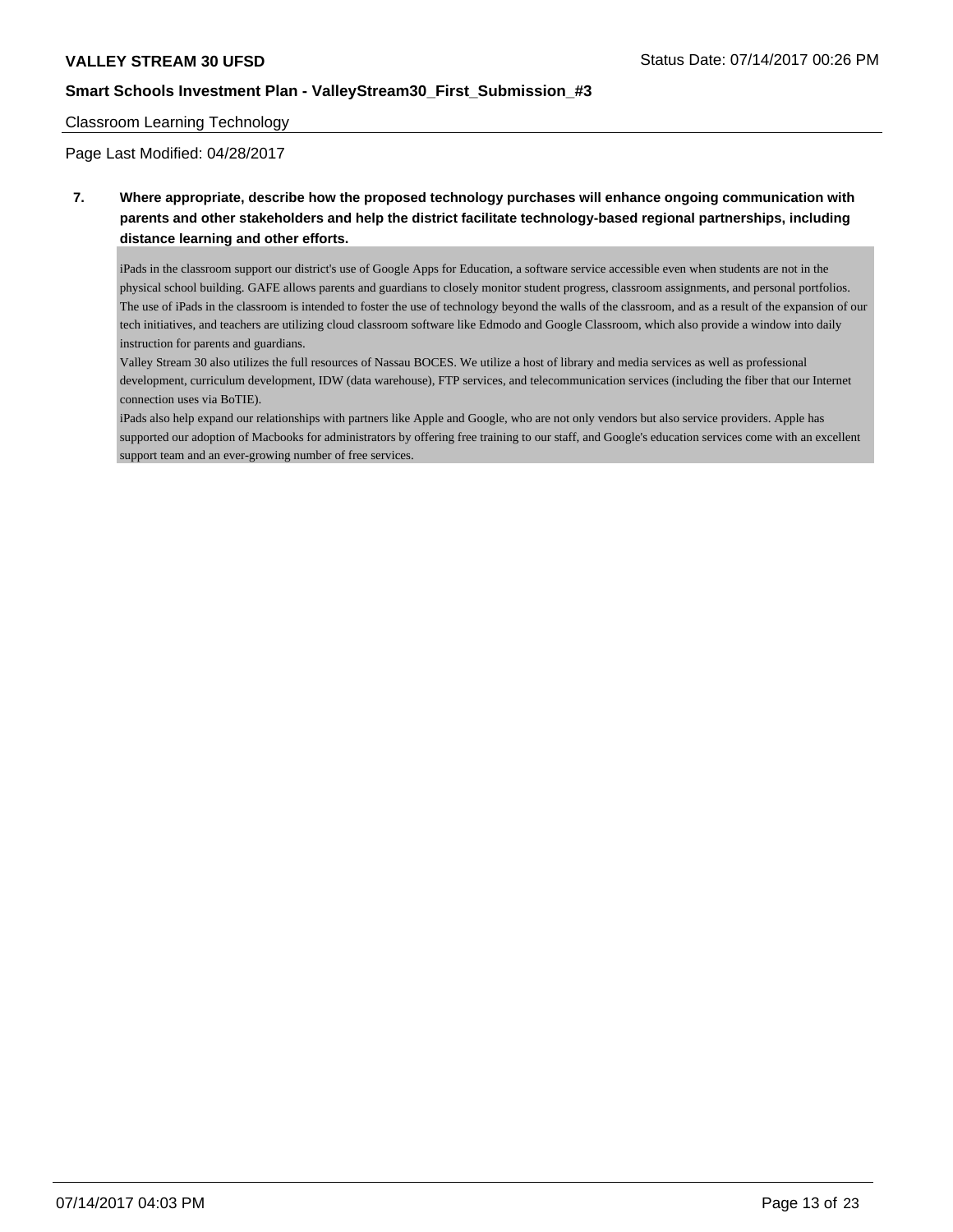#### Classroom Learning Technology

Page Last Modified: 04/28/2017

## **7. Where appropriate, describe how the proposed technology purchases will enhance ongoing communication with parents and other stakeholders and help the district facilitate technology-based regional partnerships, including distance learning and other efforts.**

iPads in the classroom support our district's use of Google Apps for Education, a software service accessible even when students are not in the physical school building. GAFE allows parents and guardians to closely monitor student progress, classroom assignments, and personal portfolios. The use of iPads in the classroom is intended to foster the use of technology beyond the walls of the classroom, and as a result of the expansion of our tech initiatives, and teachers are utilizing cloud classroom software like Edmodo and Google Classroom, which also provide a window into daily instruction for parents and guardians.

Valley Stream 30 also utilizes the full resources of Nassau BOCES. We utilize a host of library and media services as well as professional development, curriculum development, IDW (data warehouse), FTP services, and telecommunication services (including the fiber that our Internet connection uses via BoTIE).

iPads also help expand our relationships with partners like Apple and Google, who are not only vendors but also service providers. Apple has supported our adoption of Macbooks for administrators by offering free training to our staff, and Google's education services come with an excellent support team and an ever-growing number of free services.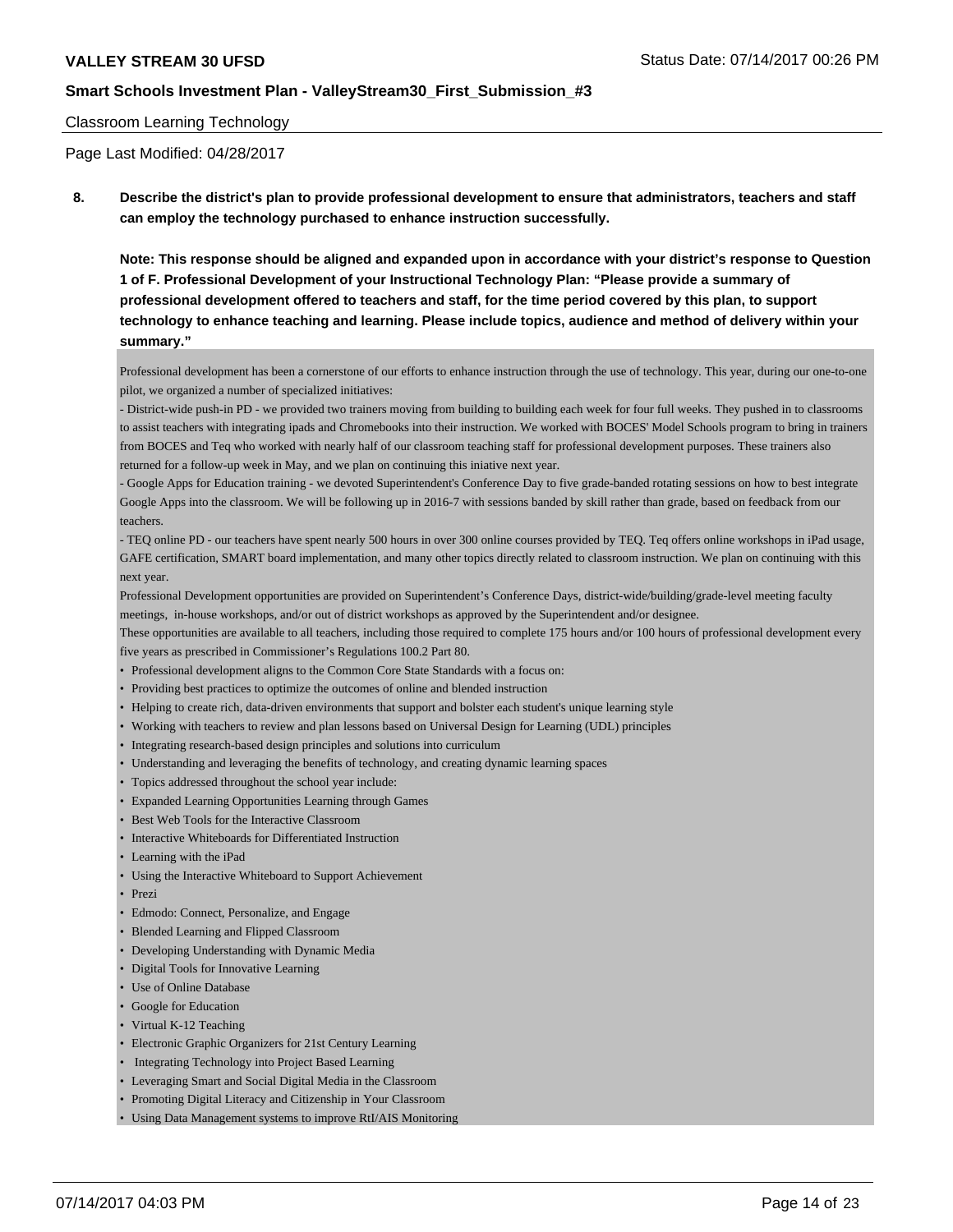#### Classroom Learning Technology

Page Last Modified: 04/28/2017

**8. Describe the district's plan to provide professional development to ensure that administrators, teachers and staff can employ the technology purchased to enhance instruction successfully.**

**Note: This response should be aligned and expanded upon in accordance with your district's response to Question 1 of F. Professional Development of your Instructional Technology Plan: "Please provide a summary of professional development offered to teachers and staff, for the time period covered by this plan, to support technology to enhance teaching and learning. Please include topics, audience and method of delivery within your summary."**

Professional development has been a cornerstone of our efforts to enhance instruction through the use of technology. This year, during our one-to-one pilot, we organized a number of specialized initiatives:

- District-wide push-in PD - we provided two trainers moving from building to building each week for four full weeks. They pushed in to classrooms to assist teachers with integrating ipads and Chromebooks into their instruction. We worked with BOCES' Model Schools program to bring in trainers from BOCES and Teq who worked with nearly half of our classroom teaching staff for professional development purposes. These trainers also returned for a follow-up week in May, and we plan on continuing this iniative next year.

- Google Apps for Education training - we devoted Superintendent's Conference Day to five grade-banded rotating sessions on how to best integrate Google Apps into the classroom. We will be following up in 2016-7 with sessions banded by skill rather than grade, based on feedback from our teachers.

- TEQ online PD - our teachers have spent nearly 500 hours in over 300 online courses provided by TEQ. Teq offers online workshops in iPad usage, GAFE certification, SMART board implementation, and many other topics directly related to classroom instruction. We plan on continuing with this next year.

Professional Development opportunities are provided on Superintendent's Conference Days, district-wide/building/grade-level meeting faculty meetings, in-house workshops, and/or out of district workshops as approved by the Superintendent and/or designee.

These opportunities are available to all teachers, including those required to complete 175 hours and/or 100 hours of professional development every five years as prescribed in Commissioner's Regulations 100.2 Part 80.

- Professional development aligns to the Common Core State Standards with a focus on:
- Providing best practices to optimize the outcomes of online and blended instruction
- Helping to create rich, data-driven environments that support and bolster each student's unique learning style
- Working with teachers to review and plan lessons based on Universal Design for Learning (UDL) principles
- Integrating research-based design principles and solutions into curriculum
- Understanding and leveraging the benefits of technology, and creating dynamic learning spaces
- Topics addressed throughout the school year include:
- Expanded Learning Opportunities Learning through Games
- Best Web Tools for the Interactive Classroom
- Interactive Whiteboards for Differentiated Instruction
- Learning with the iPad
- Using the Interactive Whiteboard to Support Achievement
- Prezi
- Edmodo: Connect, Personalize, and Engage
- Blended Learning and Flipped Classroom
- Developing Understanding with Dynamic Media
- Digital Tools for Innovative Learning
- Use of Online Database
- Google for Education
- Virtual K-12 Teaching
- Electronic Graphic Organizers for 21st Century Learning
- Integrating Technology into Project Based Learning
- Leveraging Smart and Social Digital Media in the Classroom
- Promoting Digital Literacy and Citizenship in Your Classroom
- Using Data Management systems to improve RtI/AIS Monitoring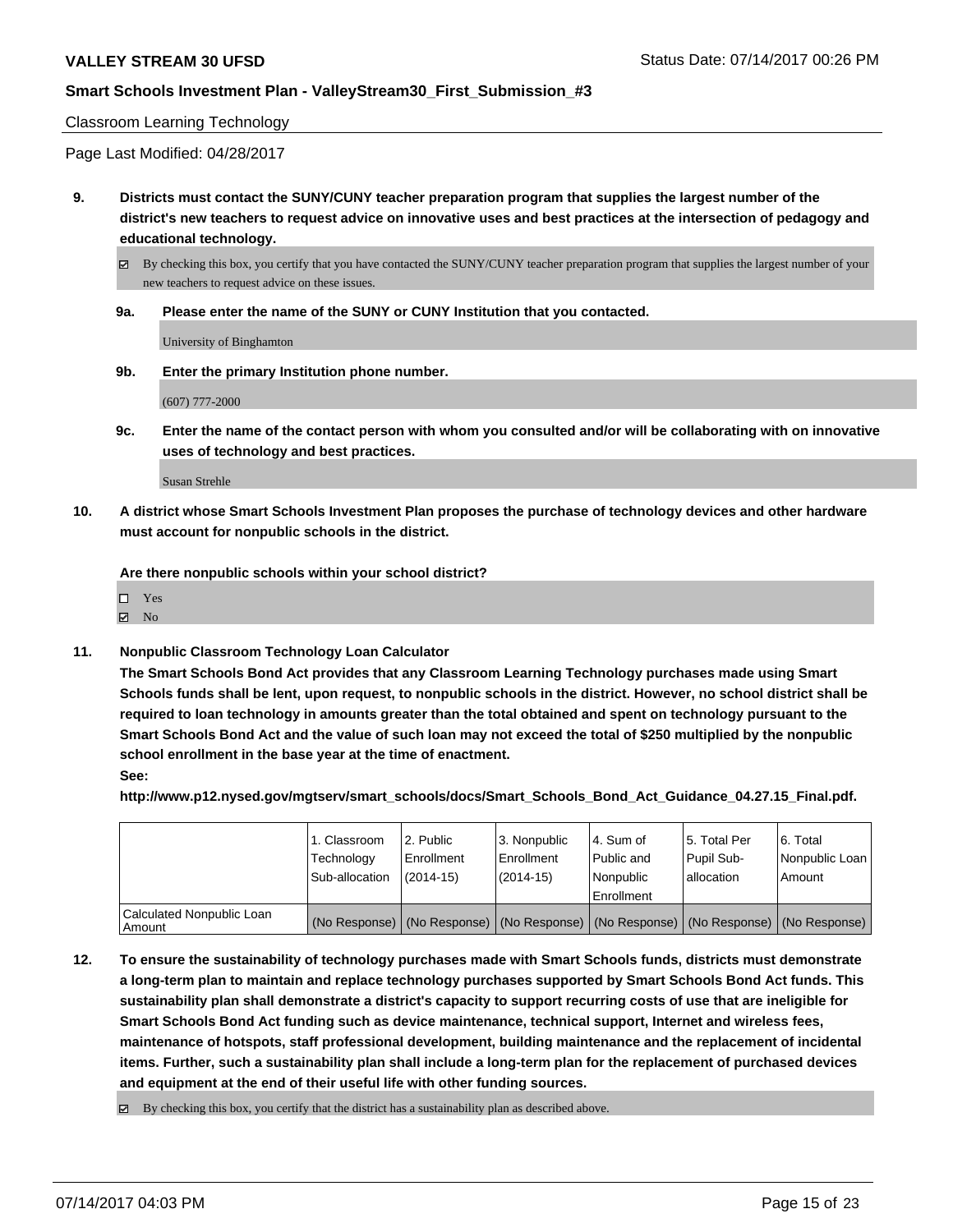## Classroom Learning Technology

Page Last Modified: 04/28/2017

**9. Districts must contact the SUNY/CUNY teacher preparation program that supplies the largest number of the district's new teachers to request advice on innovative uses and best practices at the intersection of pedagogy and educational technology.**

By checking this box, you certify that you have contacted the SUNY/CUNY teacher preparation program that supplies the largest number of your new teachers to request advice on these issues.

**9a. Please enter the name of the SUNY or CUNY Institution that you contacted.**

University of Binghamton

**9b. Enter the primary Institution phone number.**

(607) 777-2000

**9c. Enter the name of the contact person with whom you consulted and/or will be collaborating with on innovative uses of technology and best practices.**

Susan Strehle

**10. A district whose Smart Schools Investment Plan proposes the purchase of technology devices and other hardware must account for nonpublic schools in the district.**

**Are there nonpublic schools within your school district?**

Yes

 $\boxtimes$  No

**11. Nonpublic Classroom Technology Loan Calculator**

**The Smart Schools Bond Act provides that any Classroom Learning Technology purchases made using Smart Schools funds shall be lent, upon request, to nonpublic schools in the district. However, no school district shall be required to loan technology in amounts greater than the total obtained and spent on technology pursuant to the Smart Schools Bond Act and the value of such loan may not exceed the total of \$250 multiplied by the nonpublic school enrollment in the base year at the time of enactment.**

**See:**

**http://www.p12.nysed.gov/mgtserv/smart\_schools/docs/Smart\_Schools\_Bond\_Act\_Guidance\_04.27.15\_Final.pdf.**

|                                       | 1. Classroom<br>Technology<br>Sub-allocation | l 2. Public<br>l Enrollment<br>$(2014-15)$ | 3. Nonpublic<br>Enrollment<br>$(2014-15)$ | l 4. Sum of<br>Public and<br>l Nonpublic<br>Enrollment | 15. Total Per<br>Pupil Sub-<br>lallocation | l 6. Total<br>Nonpublic Loan<br>l Amount                                                      |
|---------------------------------------|----------------------------------------------|--------------------------------------------|-------------------------------------------|--------------------------------------------------------|--------------------------------------------|-----------------------------------------------------------------------------------------------|
| Calculated Nonpublic Loan<br>l Amount |                                              |                                            |                                           |                                                        |                                            | (No Response)   (No Response)   (No Response)   (No Response)   (No Response)   (No Response) |

- **12. To ensure the sustainability of technology purchases made with Smart Schools funds, districts must demonstrate a long-term plan to maintain and replace technology purchases supported by Smart Schools Bond Act funds. This sustainability plan shall demonstrate a district's capacity to support recurring costs of use that are ineligible for Smart Schools Bond Act funding such as device maintenance, technical support, Internet and wireless fees, maintenance of hotspots, staff professional development, building maintenance and the replacement of incidental items. Further, such a sustainability plan shall include a long-term plan for the replacement of purchased devices and equipment at the end of their useful life with other funding sources.**
	- $\boxtimes$  By checking this box, you certify that the district has a sustainability plan as described above.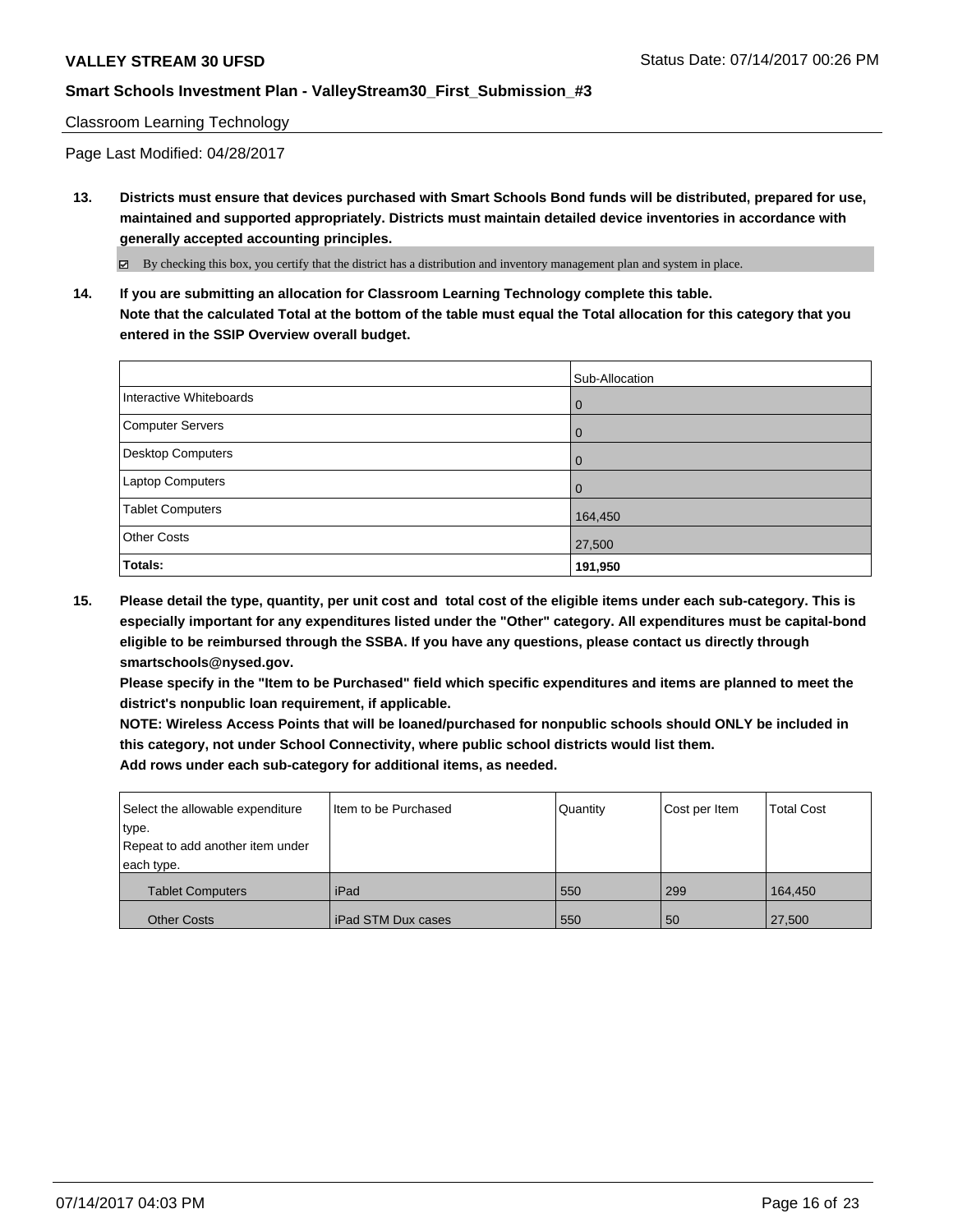#### Classroom Learning Technology

Page Last Modified: 04/28/2017

**13. Districts must ensure that devices purchased with Smart Schools Bond funds will be distributed, prepared for use, maintained and supported appropriately. Districts must maintain detailed device inventories in accordance with generally accepted accounting principles.**

By checking this box, you certify that the district has a distribution and inventory management plan and system in place.

**14. If you are submitting an allocation for Classroom Learning Technology complete this table. Note that the calculated Total at the bottom of the table must equal the Total allocation for this category that you entered in the SSIP Overview overall budget.**

|                         | Sub-Allocation |
|-------------------------|----------------|
| Interactive Whiteboards | l 0            |
| Computer Servers        | l 0            |
| Desktop Computers       | l 0            |
| <b>Laptop Computers</b> | l 0            |
| <b>Tablet Computers</b> | 164,450        |
| <b>Other Costs</b>      | 27,500         |
| Totals:                 | 191,950        |

**15. Please detail the type, quantity, per unit cost and total cost of the eligible items under each sub-category. This is especially important for any expenditures listed under the "Other" category. All expenditures must be capital-bond eligible to be reimbursed through the SSBA. If you have any questions, please contact us directly through smartschools@nysed.gov.**

**Please specify in the "Item to be Purchased" field which specific expenditures and items are planned to meet the district's nonpublic loan requirement, if applicable.**

**NOTE: Wireless Access Points that will be loaned/purchased for nonpublic schools should ONLY be included in this category, not under School Connectivity, where public school districts would list them. Add rows under each sub-category for additional items, as needed.**

| Select the allowable expenditure | I Item to be Purchased | Quantity | Cost per Item | <b>Total Cost</b> |
|----------------------------------|------------------------|----------|---------------|-------------------|
| type.                            |                        |          |               |                   |
| Repeat to add another item under |                        |          |               |                   |
| each type.                       |                        |          |               |                   |
| <b>Tablet Computers</b>          | iPad                   | 550      | 299           | 164,450           |
| <b>Other Costs</b>               | l iPad STM Dux cases   | 550      | 50            | 27,500            |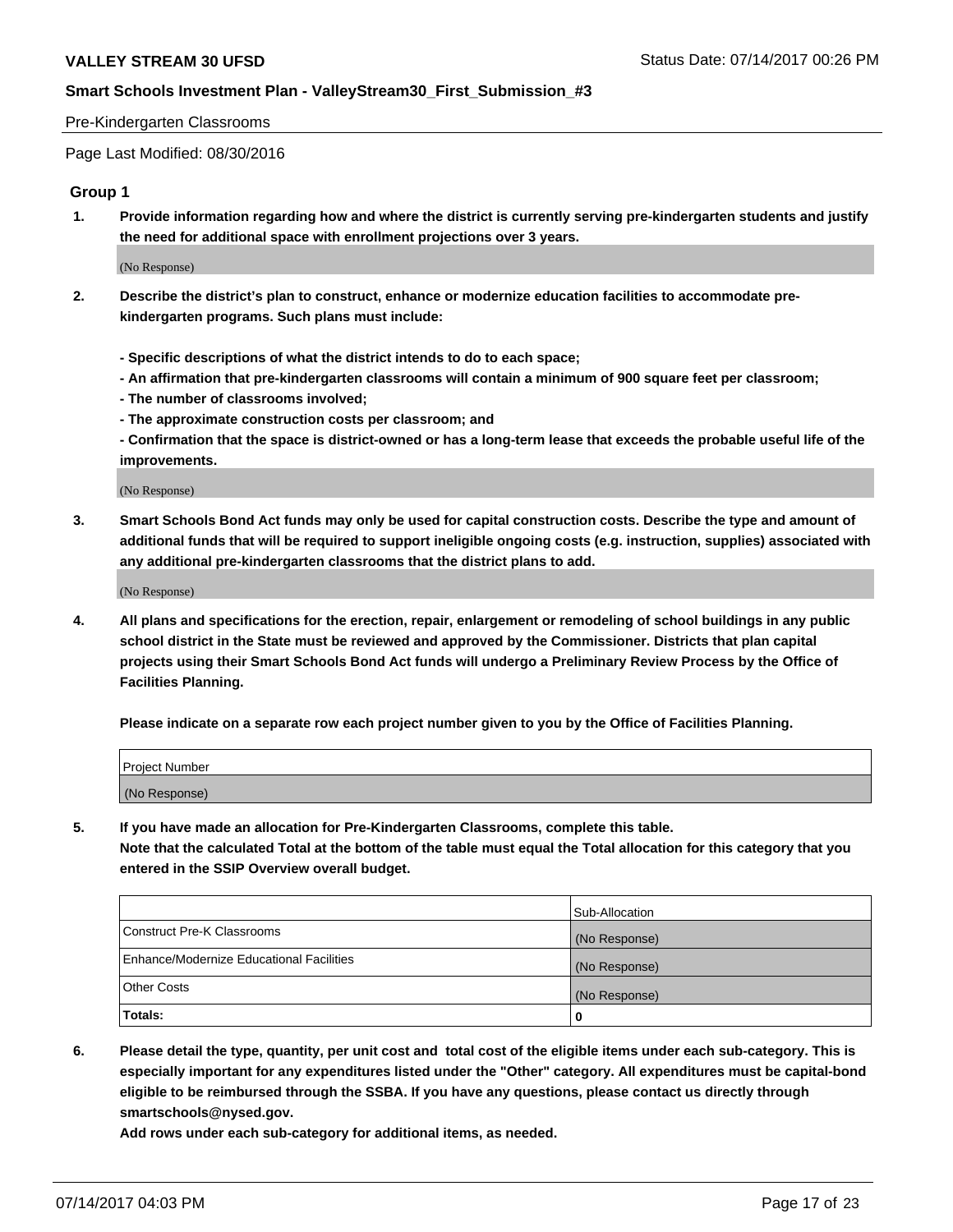#### Pre-Kindergarten Classrooms

Page Last Modified: 08/30/2016

#### **Group 1**

**1. Provide information regarding how and where the district is currently serving pre-kindergarten students and justify the need for additional space with enrollment projections over 3 years.**

(No Response)

- **2. Describe the district's plan to construct, enhance or modernize education facilities to accommodate prekindergarten programs. Such plans must include:**
	- **Specific descriptions of what the district intends to do to each space;**
	- **An affirmation that pre-kindergarten classrooms will contain a minimum of 900 square feet per classroom;**
	- **The number of classrooms involved;**
	- **The approximate construction costs per classroom; and**
	- **Confirmation that the space is district-owned or has a long-term lease that exceeds the probable useful life of the improvements.**

(No Response)

**3. Smart Schools Bond Act funds may only be used for capital construction costs. Describe the type and amount of additional funds that will be required to support ineligible ongoing costs (e.g. instruction, supplies) associated with any additional pre-kindergarten classrooms that the district plans to add.**

(No Response)

**4. All plans and specifications for the erection, repair, enlargement or remodeling of school buildings in any public school district in the State must be reviewed and approved by the Commissioner. Districts that plan capital projects using their Smart Schools Bond Act funds will undergo a Preliminary Review Process by the Office of Facilities Planning.**

**Please indicate on a separate row each project number given to you by the Office of Facilities Planning.**

| Project Number |  |
|----------------|--|
| (No Response)  |  |

**5. If you have made an allocation for Pre-Kindergarten Classrooms, complete this table. Note that the calculated Total at the bottom of the table must equal the Total allocation for this category that you entered in the SSIP Overview overall budget.**

| Totals:                                  | 0              |
|------------------------------------------|----------------|
| Other Costs                              | (No Response)  |
| Enhance/Modernize Educational Facilities | (No Response)  |
| Construct Pre-K Classrooms               | (No Response)  |
|                                          | Sub-Allocation |

**6. Please detail the type, quantity, per unit cost and total cost of the eligible items under each sub-category. This is especially important for any expenditures listed under the "Other" category. All expenditures must be capital-bond eligible to be reimbursed through the SSBA. If you have any questions, please contact us directly through smartschools@nysed.gov.**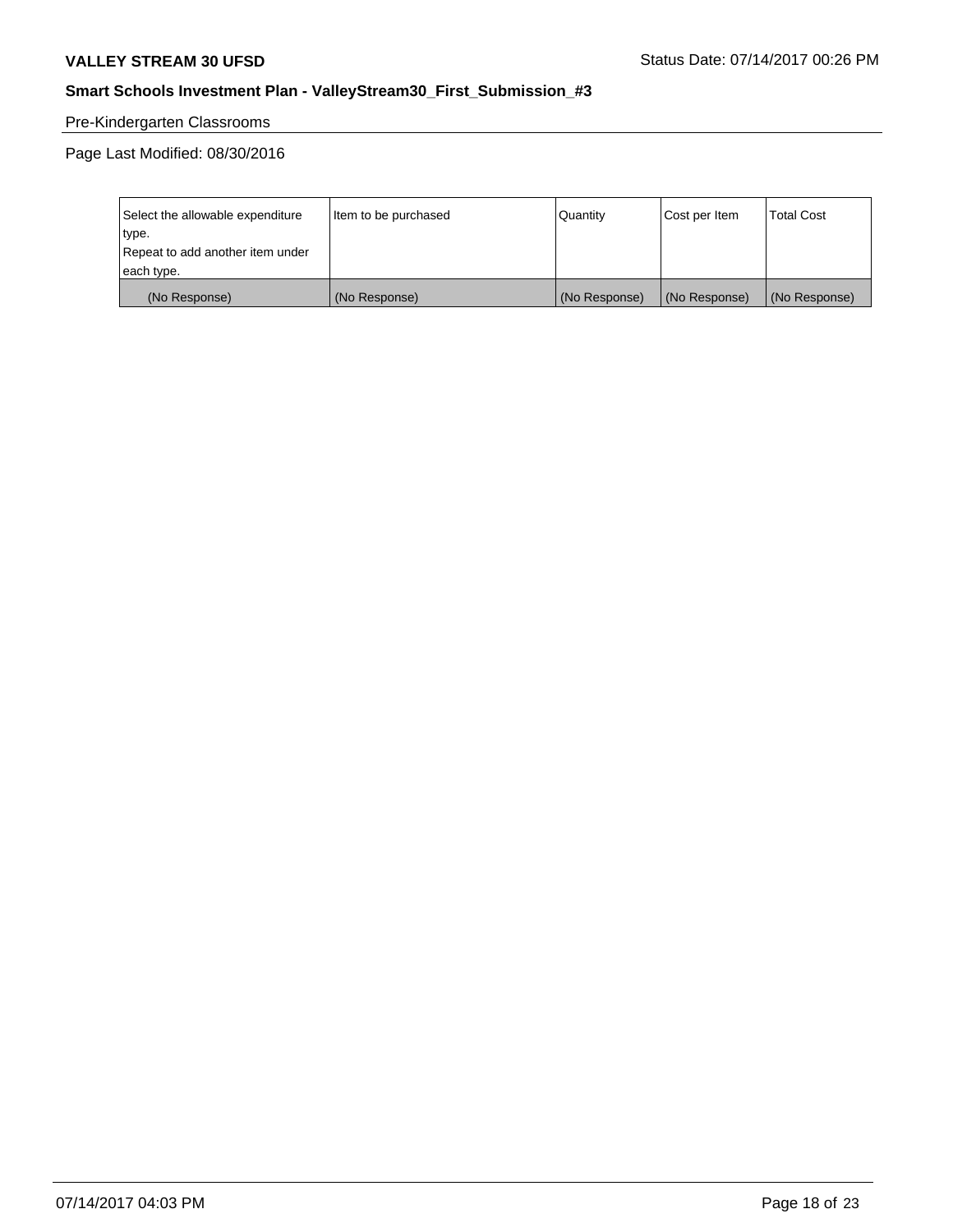# Pre-Kindergarten Classrooms

Page Last Modified: 08/30/2016

| Select the allowable expenditure | Item to be purchased | Quantity      | Cost per Item | <b>Total Cost</b> |
|----------------------------------|----------------------|---------------|---------------|-------------------|
| type.                            |                      |               |               |                   |
| Repeat to add another item under |                      |               |               |                   |
| each type.                       |                      |               |               |                   |
| (No Response)                    | (No Response)        | (No Response) | (No Response) | (No Response)     |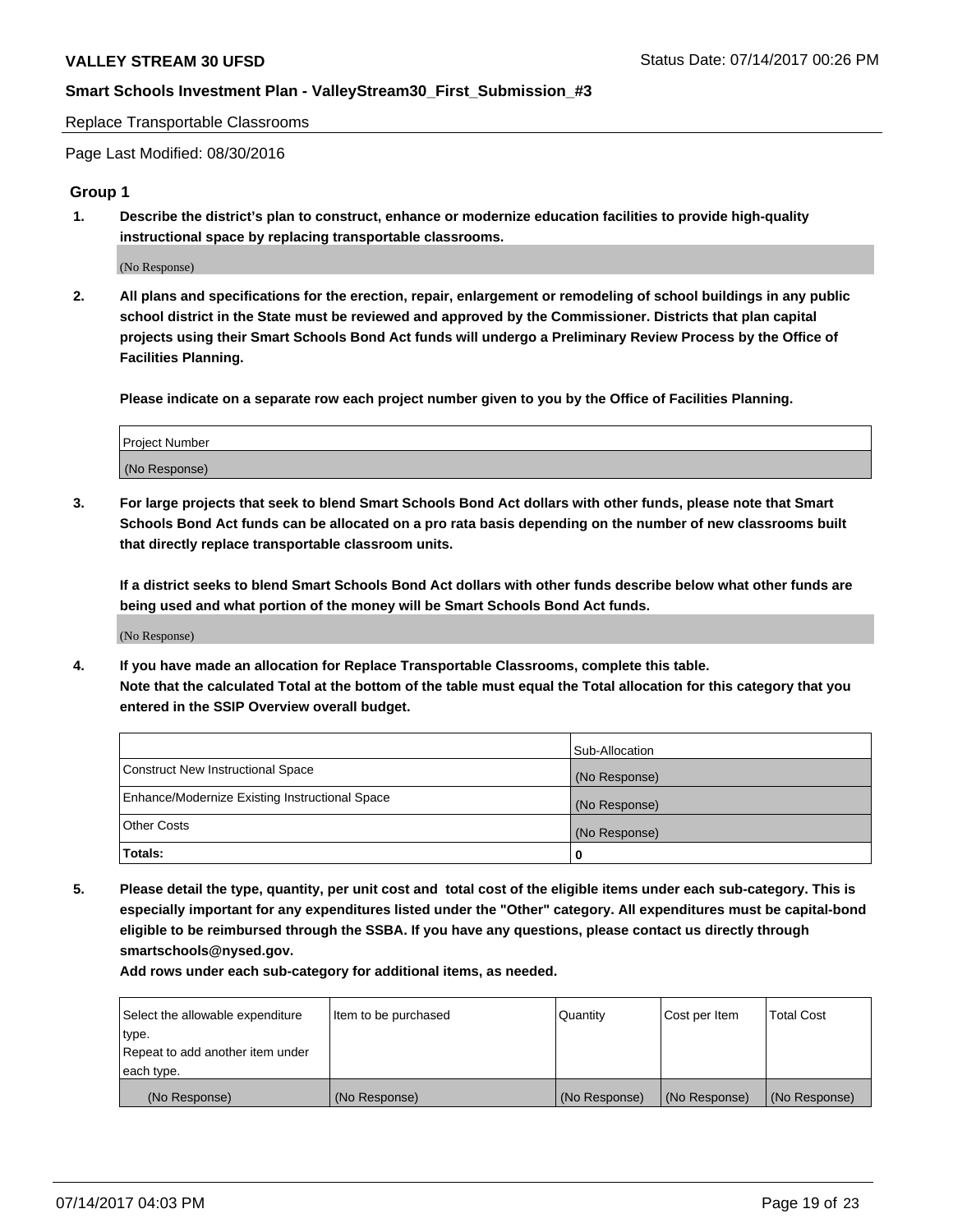Replace Transportable Classrooms

Page Last Modified: 08/30/2016

### **Group 1**

**1. Describe the district's plan to construct, enhance or modernize education facilities to provide high-quality instructional space by replacing transportable classrooms.**

(No Response)

**2. All plans and specifications for the erection, repair, enlargement or remodeling of school buildings in any public school district in the State must be reviewed and approved by the Commissioner. Districts that plan capital projects using their Smart Schools Bond Act funds will undergo a Preliminary Review Process by the Office of Facilities Planning.**

**Please indicate on a separate row each project number given to you by the Office of Facilities Planning.**

| Project Number |  |
|----------------|--|
| (No Response)  |  |

**3. For large projects that seek to blend Smart Schools Bond Act dollars with other funds, please note that Smart Schools Bond Act funds can be allocated on a pro rata basis depending on the number of new classrooms built that directly replace transportable classroom units.**

**If a district seeks to blend Smart Schools Bond Act dollars with other funds describe below what other funds are being used and what portion of the money will be Smart Schools Bond Act funds.**

(No Response)

**4. If you have made an allocation for Replace Transportable Classrooms, complete this table. Note that the calculated Total at the bottom of the table must equal the Total allocation for this category that you entered in the SSIP Overview overall budget.**

|                                                | Sub-Allocation |
|------------------------------------------------|----------------|
| Construct New Instructional Space              | (No Response)  |
| Enhance/Modernize Existing Instructional Space | (No Response)  |
| Other Costs                                    | (No Response)  |
| Totals:                                        | $\Omega$       |

**5. Please detail the type, quantity, per unit cost and total cost of the eligible items under each sub-category. This is especially important for any expenditures listed under the "Other" category. All expenditures must be capital-bond eligible to be reimbursed through the SSBA. If you have any questions, please contact us directly through smartschools@nysed.gov.**

| Select the allowable expenditure | Item to be purchased | Quantity      | Cost per Item | <b>Total Cost</b> |
|----------------------------------|----------------------|---------------|---------------|-------------------|
| 'type.                           |                      |               |               |                   |
| Repeat to add another item under |                      |               |               |                   |
| each type.                       |                      |               |               |                   |
| (No Response)                    | (No Response)        | (No Response) | (No Response) | (No Response)     |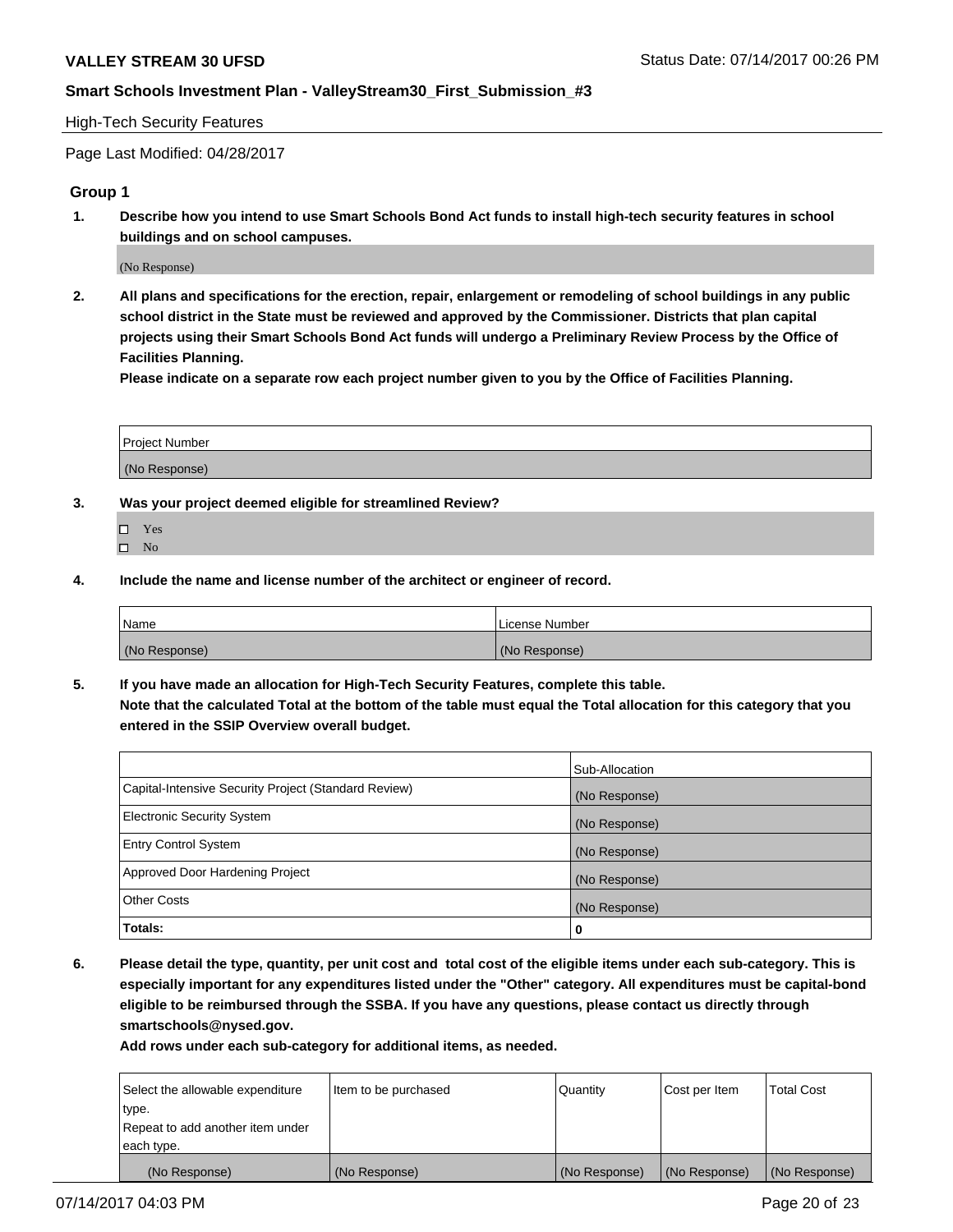#### High-Tech Security Features

Page Last Modified: 04/28/2017

### **Group 1**

**1. Describe how you intend to use Smart Schools Bond Act funds to install high-tech security features in school buildings and on school campuses.**

(No Response)

**2. All plans and specifications for the erection, repair, enlargement or remodeling of school buildings in any public school district in the State must be reviewed and approved by the Commissioner. Districts that plan capital projects using their Smart Schools Bond Act funds will undergo a Preliminary Review Process by the Office of Facilities Planning.** 

**Please indicate on a separate row each project number given to you by the Office of Facilities Planning.**

| Project Number |  |
|----------------|--|
|                |  |
| (No Response)  |  |

- **3. Was your project deemed eligible for streamlined Review?**
	- Yes  $\hfill \square$  No
- **4. Include the name and license number of the architect or engineer of record.**

| Name          | License Number |
|---------------|----------------|
| (No Response) | (No Response)  |

**5. If you have made an allocation for High-Tech Security Features, complete this table. Note that the calculated Total at the bottom of the table must equal the Total allocation for this category that you entered in the SSIP Overview overall budget.**

|                                                      | Sub-Allocation |
|------------------------------------------------------|----------------|
| Capital-Intensive Security Project (Standard Review) | (No Response)  |
| Electronic Security System                           | (No Response)  |
| <b>Entry Control System</b>                          | (No Response)  |
| Approved Door Hardening Project                      | (No Response)  |
| <b>Other Costs</b>                                   | (No Response)  |
| Totals:                                              | 0              |

**6. Please detail the type, quantity, per unit cost and total cost of the eligible items under each sub-category. This is especially important for any expenditures listed under the "Other" category. All expenditures must be capital-bond eligible to be reimbursed through the SSBA. If you have any questions, please contact us directly through smartschools@nysed.gov.**

| (No Response)                    | (No Response)        | (No Response) | (No Response) | (No Response)     |
|----------------------------------|----------------------|---------------|---------------|-------------------|
| each type.                       |                      |               |               |                   |
| Repeat to add another item under |                      |               |               |                   |
| type.                            |                      |               |               |                   |
| Select the allowable expenditure | Item to be purchased | Quantity      | Cost per Item | <b>Total Cost</b> |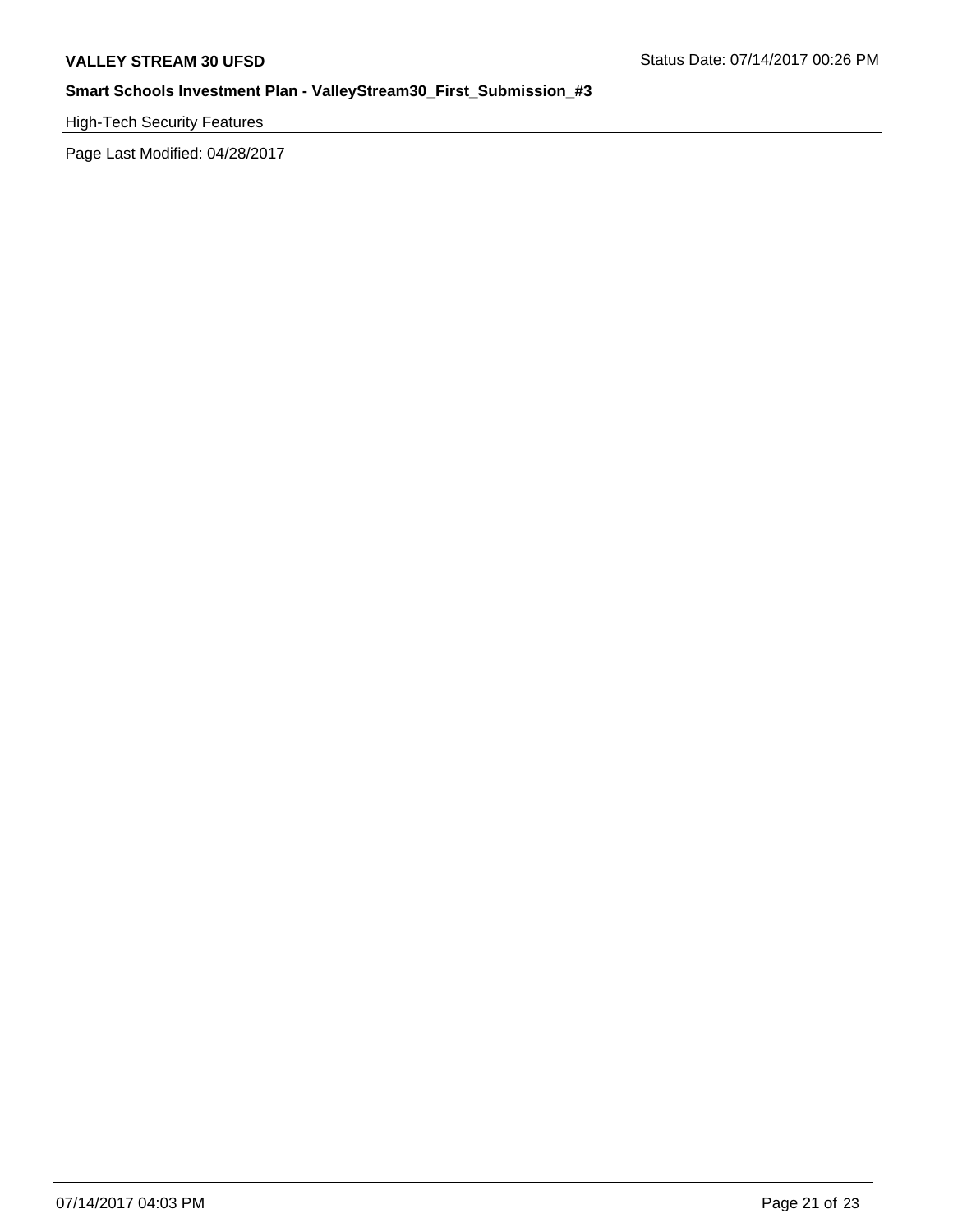High-Tech Security Features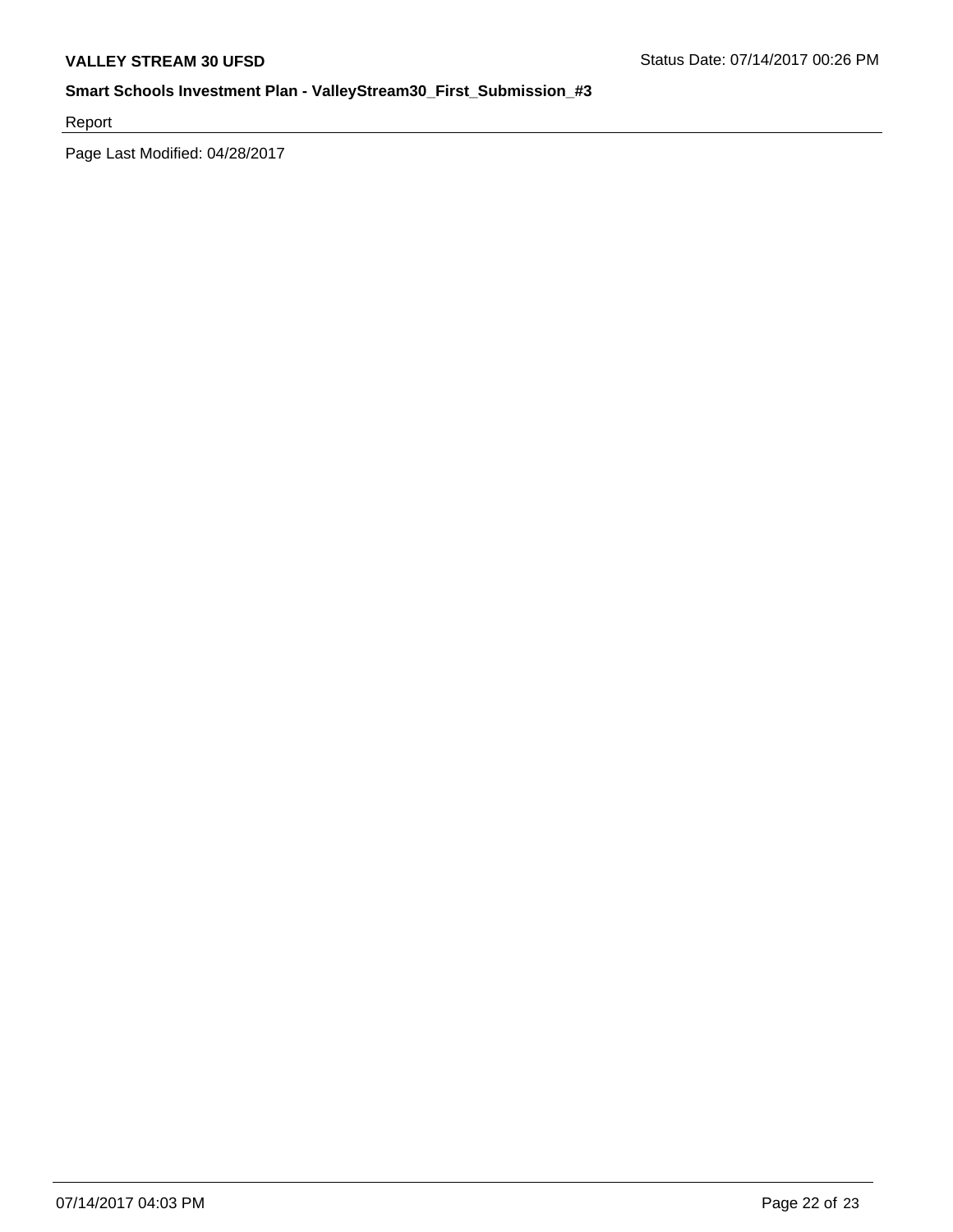Report